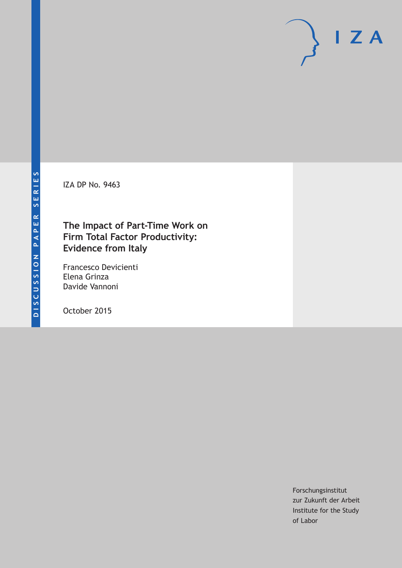IZA DP No. 9463

### **The Impact of Part-Time Work on Firm Total Factor Productivity: Evidence from Italy**

Francesco Devicienti Elena Grinza Davide Vannoni

October 2015

Forschungsinstitut zur Zukunft der Arbeit Institute for the Study of Labor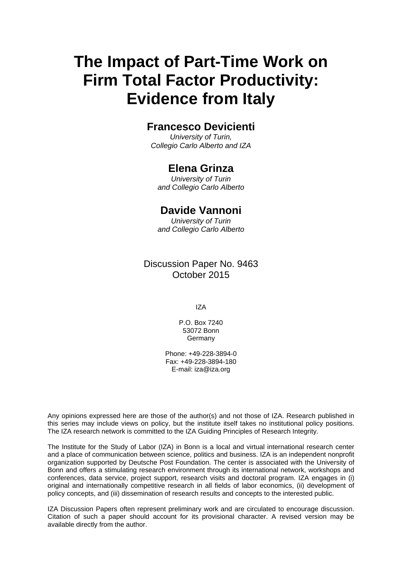# **The Impact of Part-Time Work on Firm Total Factor Productivity: Evidence from Italy**

### **Francesco Devicienti**

*University of Turin, Collegio Carlo Alberto and IZA* 

### **Elena Grinza**

*University of Turin and Collegio Carlo Alberto* 

### **Davide Vannoni**

*University of Turin and Collegio Carlo Alberto*

### Discussion Paper No. 9463 October 2015

IZA

P.O. Box 7240 53072 Bonn **Germany** 

Phone: +49-228-3894-0 Fax: +49-228-3894-180 E-mail: iza@iza.org

Any opinions expressed here are those of the author(s) and not those of IZA. Research published in this series may include views on policy, but the institute itself takes no institutional policy positions. The IZA research network is committed to the IZA Guiding Principles of Research Integrity.

The Institute for the Study of Labor (IZA) in Bonn is a local and virtual international research center and a place of communication between science, politics and business. IZA is an independent nonprofit organization supported by Deutsche Post Foundation. The center is associated with the University of Bonn and offers a stimulating research environment through its international network, workshops and conferences, data service, project support, research visits and doctoral program. IZA engages in (i) original and internationally competitive research in all fields of labor economics, (ii) development of policy concepts, and (iii) dissemination of research results and concepts to the interested public.

IZA Discussion Papers often represent preliminary work and are circulated to encourage discussion. Citation of such a paper should account for its provisional character. A revised version may be available directly from the author.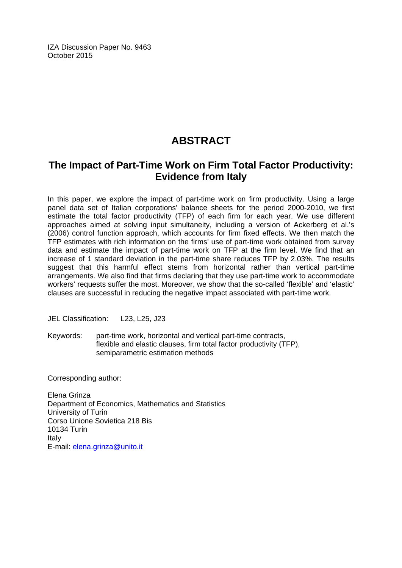IZA Discussion Paper No. 9463 October 2015

## **ABSTRACT**

### **The Impact of Part-Time Work on Firm Total Factor Productivity: Evidence from Italy**

In this paper, we explore the impact of part-time work on firm productivity. Using a large panel data set of Italian corporations' balance sheets for the period 2000-2010, we first estimate the total factor productivity (TFP) of each firm for each year. We use different approaches aimed at solving input simultaneity, including a version of Ackerberg et al.'s (2006) control function approach, which accounts for firm fixed effects. We then match the TFP estimates with rich information on the firms' use of part-time work obtained from survey data and estimate the impact of part-time work on TFP at the firm level. We find that an increase of 1 standard deviation in the part-time share reduces TFP by 2.03%. The results suggest that this harmful effect stems from horizontal rather than vertical part-time arrangements. We also find that firms declaring that they use part-time work to accommodate workers' requests suffer the most. Moreover, we show that the so-called 'flexible' and 'elastic' clauses are successful in reducing the negative impact associated with part-time work.

JEL Classification: L23, L25, J23

Keywords: part-time work, horizontal and vertical part-time contracts, flexible and elastic clauses, firm total factor productivity (TFP), semiparametric estimation methods

Corresponding author:

Elena Grinza Department of Economics, Mathematics and Statistics University of Turin Corso Unione Sovietica 218 Bis 10134 Turin Italy E-mail: elena.grinza@unito.it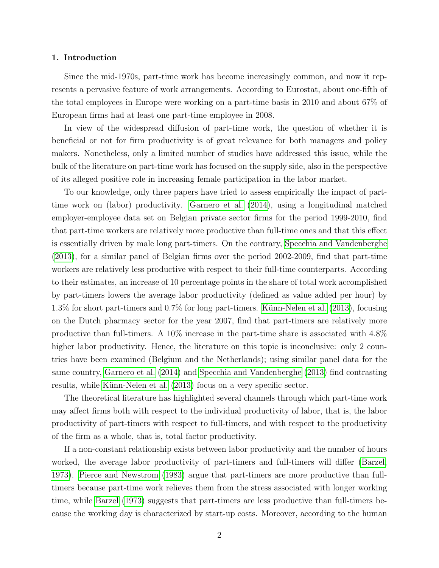#### 1. Introduction

Since the mid-1970s, part-time work has become increasingly common, and now it represents a pervasive feature of work arrangements. According to Eurostat, about one-fifth of the total employees in Europe were working on a part-time basis in 2010 and about 67% of European firms had at least one part-time employee in 2008.

In view of the widespread diffusion of part-time work, the question of whether it is beneficial or not for firm productivity is of great relevance for both managers and policy makers. Nonetheless, only a limited number of studies have addressed this issue, while the bulk of the literature on part-time work has focused on the supply side, also in the perspective of its alleged positive role in increasing female participation in the labor market.

To our knowledge, only three papers have tried to assess empirically the impact of parttime work on (labor) productivity. [Garnero et al.](#page-40-0) [\(2014\)](#page-40-0), using a longitudinal matched employer-employee data set on Belgian private sector firms for the period 1999-2010, find that part-time workers are relatively more productive than full-time ones and that this effect is essentially driven by male long part-timers. On the contrary, [Specchia and Vandenberghe](#page-41-0) [\(2013\)](#page-41-0), for a similar panel of Belgian firms over the period 2002-2009, find that part-time workers are relatively less productive with respect to their full-time counterparts. According to their estimates, an increase of 10 percentage points in the share of total work accomplished by part-timers lowers the average labor productivity (defined as value added per hour) by  $1.3\%$  for short part-timers and  $0.7\%$  for long part-timers. Künn-Nelen et al. [\(2013\)](#page-41-1), focusing on the Dutch pharmacy sector for the year 2007, find that part-timers are relatively more productive than full-timers. A 10% increase in the part-time share is associated with 4.8% higher labor productivity. Hence, the literature on this topic is inconclusive: only 2 countries have been examined (Belgium and the Netherlands); using similar panel data for the same country, [Garnero et al.](#page-40-0) [\(2014\)](#page-40-0) and [Specchia and Vandenberghe](#page-41-0) [\(2013\)](#page-41-0) find contrasting results, while Künn-Nelen et al. [\(2013\)](#page-41-1) focus on a very specific sector.

The theoretical literature has highlighted several channels through which part-time work may affect firms both with respect to the individual productivity of labor, that is, the labor productivity of part-timers with respect to full-timers, and with respect to the productivity of the firm as a whole, that is, total factor productivity.

If a non-constant relationship exists between labor productivity and the number of hours worked, the average labor productivity of part-timers and full-timers will differ [\(Barzel,](#page-40-1) [1973\)](#page-40-1). [Pierce and Newstrom](#page-41-2) [\(1983\)](#page-41-2) argue that part-timers are more productive than fulltimers because part-time work relieves them from the stress associated with longer working time, while [Barzel](#page-40-1) [\(1973\)](#page-40-1) suggests that part-timers are less productive than full-timers because the working day is characterized by start-up costs. Moreover, according to the human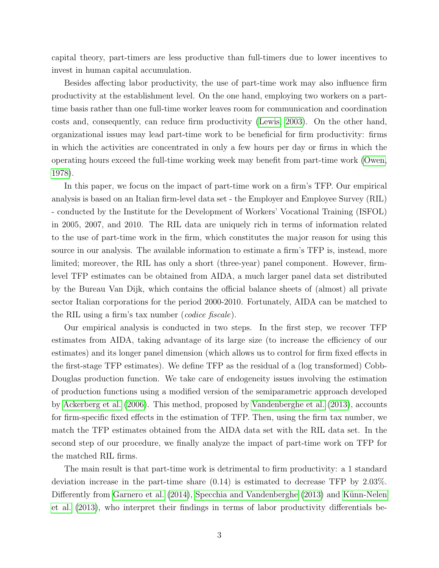capital theory, part-timers are less productive than full-timers due to lower incentives to invest in human capital accumulation.

Besides affecting labor productivity, the use of part-time work may also influence firm productivity at the establishment level. On the one hand, employing two workers on a parttime basis rather than one full-time worker leaves room for communication and coordination costs and, consequently, can reduce firm productivity [\(Lewis, 2003\)](#page-41-3). On the other hand, organizational issues may lead part-time work to be beneficial for firm productivity: firms in which the activities are concentrated in only a few hours per day or firms in which the operating hours exceed the full-time working week may benefit from part-time work [\(Owen,](#page-41-4) [1978\)](#page-41-4).

In this paper, we focus on the impact of part-time work on a firm's TFP. Our empirical analysis is based on an Italian firm-level data set - the Employer and Employee Survey (RIL) - conducted by the Institute for the Development of Workers' Vocational Training (ISFOL) in 2005, 2007, and 2010. The RIL data are uniquely rich in terms of information related to the use of part-time work in the firm, which constitutes the major reason for using this source in our analysis. The available information to estimate a firm's TFP is, instead, more limited; moreover, the RIL has only a short (three-year) panel component. However, firmlevel TFP estimates can be obtained from AIDA, a much larger panel data set distributed by the Bureau Van Dijk, which contains the official balance sheets of (almost) all private sector Italian corporations for the period 2000-2010. Fortunately, AIDA can be matched to the RIL using a firm's tax number (codice fiscale).

Our empirical analysis is conducted in two steps. In the first step, we recover TFP estimates from AIDA, taking advantage of its large size (to increase the efficiency of our estimates) and its longer panel dimension (which allows us to control for firm fixed effects in the first-stage TFP estimates). We define TFP as the residual of a (log transformed) Cobb-Douglas production function. We take care of endogeneity issues involving the estimation of production functions using a modified version of the semiparametric approach developed by [Ackerberg et al.](#page-40-2) [\(2006\)](#page-40-2). This method, proposed by [Vandenberghe et al.](#page-42-0) [\(2013\)](#page-42-0), accounts for firm-specific fixed effects in the estimation of TFP. Then, using the firm tax number, we match the TFP estimates obtained from the AIDA data set with the RIL data set. In the second step of our procedure, we finally analyze the impact of part-time work on TFP for the matched RIL firms.

The main result is that part-time work is detrimental to firm productivity: a 1 standard deviation increase in the part-time share (0.14) is estimated to decrease TFP by 2.03%. Differently from [Garnero et al.](#page-40-0) [\(2014\)](#page-40-0), [Specchia and Vandenberghe](#page-41-0) [\(2013\)](#page-41-0) and Künn-Nelen [et al.](#page-41-1) [\(2013\)](#page-41-1), who interpret their findings in terms of labor productivity differentials be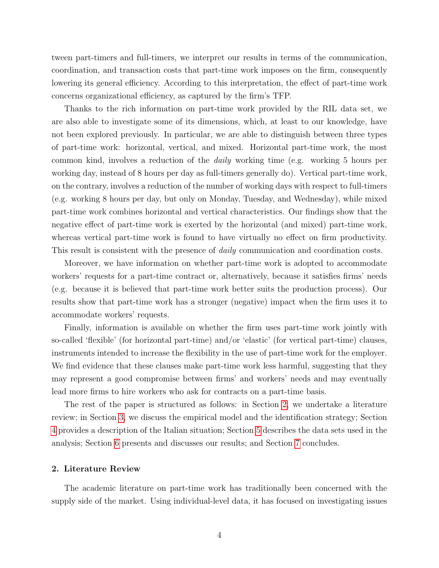tween part-timers and full-timers, we interpret our results in terms of the communication, coordination, and transaction costs that part-time work imposes on the firm, consequently lowering its general efficiency. According to this interpretation, the effect of part-time work concerns organizational efficiency, as captured by the firm's TFP.

Thanks to the rich information on part-time work provided by the RIL data set, we are also able to investigate some of its dimensions, which, at least to our knowledge, have not been explored previously. In particular, we are able to distinguish between three types of part-time work: horizontal, vertical, and mixed. Horizontal part-time work, the most common kind, involves a reduction of the daily working time (e.g. working 5 hours per working day, instead of 8 hours per day as full-timers generally do). Vertical part-time work, on the contrary, involves a reduction of the number of working days with respect to full-timers (e.g. working 8 hours per day, but only on Monday, Tuesday, and Wednesday), while mixed part-time work combines horizontal and vertical characteristics. Our findings show that the negative effect of part-time work is exerted by the horizontal (and mixed) part-time work, whereas vertical part-time work is found to have virtually no effect on firm productivity. This result is consistent with the presence of *daily* communication and coordination costs.

Moreover, we have information on whether part-time work is adopted to accommodate workers' requests for a part-time contract or, alternatively, because it satisfies firms' needs (e.g. because it is believed that part-time work better suits the production process). Our results show that part-time work has a stronger (negative) impact when the firm uses it to accommodate workers' requests.

Finally, information is available on whether the firm uses part-time work jointly with so-called 'flexible' (for horizontal part-time) and/or 'elastic' (for vertical part-time) clauses, instruments intended to increase the flexibility in the use of part-time work for the employer. We find evidence that these clauses make part-time work less harmful, suggesting that they may represent a good compromise between firms' and workers' needs and may eventually lead more firms to hire workers who ask for contracts on a part-time basis.

The rest of the paper is structured as follows: in Section [2,](#page-5-0) we undertake a literature review; in Section [3,](#page-9-0) we discuss the empirical model and the identification strategy; Section [4](#page-12-0) provides a description of the Italian situation; Section [5](#page-14-0) describes the data sets used in the analysis; Section [6](#page-17-0) presents and discusses our results; and Section [7](#page-23-0) concludes.

#### <span id="page-5-0"></span>2. Literature Review

The academic literature on part-time work has traditionally been concerned with the supply side of the market. Using individual-level data, it has focused on investigating issues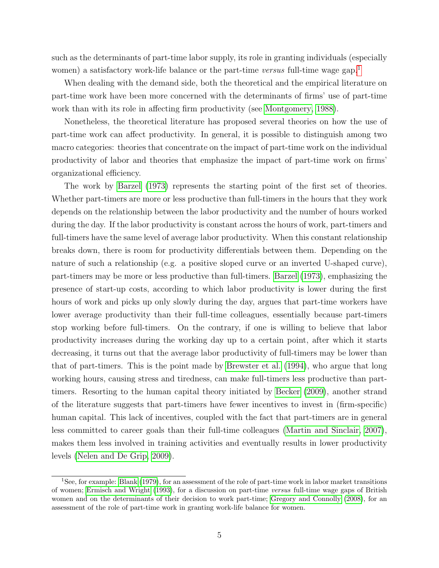such as the determinants of part-time labor supply, its role in granting individuals (especially women) a satisfactory work-life balance or the part-time versus full-time wage gap.<sup>[1](#page--1-0)</sup>

When dealing with the demand side, both the theoretical and the empirical literature on part-time work have been more concerned with the determinants of firms' use of part-time work than with its role in affecting firm productivity (see [Montgomery, 1988\)](#page-41-5).

Nonetheless, the theoretical literature has proposed several theories on how the use of part-time work can affect productivity. In general, it is possible to distinguish among two macro categories: theories that concentrate on the impact of part-time work on the individual productivity of labor and theories that emphasize the impact of part-time work on firms' organizational efficiency.

The work by [Barzel](#page-40-1) [\(1973\)](#page-40-1) represents the starting point of the first set of theories. Whether part-timers are more or less productive than full-timers in the hours that they work depends on the relationship between the labor productivity and the number of hours worked during the day. If the labor productivity is constant across the hours of work, part-timers and full-timers have the same level of average labor productivity. When this constant relationship breaks down, there is room for productivity differentials between them. Depending on the nature of such a relationship (e.g. a positive sloped curve or an inverted U-shaped curve), part-timers may be more or less productive than full-timers. [Barzel](#page-40-1) [\(1973\)](#page-40-1), emphasizing the presence of start-up costs, according to which labor productivity is lower during the first hours of work and picks up only slowly during the day, argues that part-time workers have lower average productivity than their full-time colleagues, essentially because part-timers stop working before full-timers. On the contrary, if one is willing to believe that labor productivity increases during the working day up to a certain point, after which it starts decreasing, it turns out that the average labor productivity of full-timers may be lower than that of part-timers. This is the point made by [Brewster et al.](#page-40-3) [\(1994\)](#page-40-3), who argue that long working hours, causing stress and tiredness, can make full-timers less productive than parttimers. Resorting to the human capital theory initiated by [Becker](#page-40-4) [\(2009\)](#page-40-4), another strand of the literature suggests that part-timers have fewer incentives to invest in (firm-specific) human capital. This lack of incentives, coupled with the fact that part-timers are in general less committed to career goals than their full-time colleagues [\(Martin and Sinclair, 2007\)](#page-41-6), makes them less involved in training activities and eventually results in lower productivity levels [\(Nelen and De Grip, 2009\)](#page-41-7).

<sup>1</sup>See, for example: [Blank](#page-40-5) [\(1979\)](#page-40-5), for an assessment of the role of part-time work in labor market transitions of women; [Ermisch and Wright](#page-40-6) [\(1993\)](#page-40-6), for a discussion on part-time versus full-time wage gaps of British women and on the determinants of their decision to work part-time; [Gregory and Connolly](#page-40-7) [\(2008\)](#page-40-7), for an assessment of the role of part-time work in granting work-life balance for women.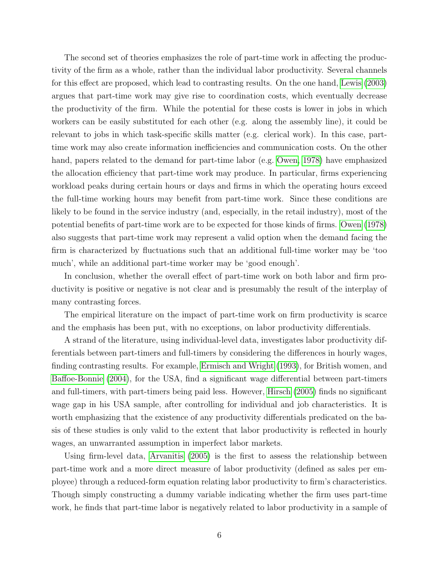The second set of theories emphasizes the role of part-time work in affecting the productivity of the firm as a whole, rather than the individual labor productivity. Several channels for this effect are proposed, which lead to contrasting results. On the one hand, [Lewis](#page-41-3) [\(2003\)](#page-41-3) argues that part-time work may give rise to coordination costs, which eventually decrease the productivity of the firm. While the potential for these costs is lower in jobs in which workers can be easily substituted for each other (e.g. along the assembly line), it could be relevant to jobs in which task-specific skills matter (e.g. clerical work). In this case, parttime work may also create information inefficiencies and communication costs. On the other hand, papers related to the demand for part-time labor (e.g. [Owen, 1978\)](#page-41-4) have emphasized the allocation efficiency that part-time work may produce. In particular, firms experiencing workload peaks during certain hours or days and firms in which the operating hours exceed the full-time working hours may benefit from part-time work. Since these conditions are likely to be found in the service industry (and, especially, in the retail industry), most of the potential benefits of part-time work are to be expected for those kinds of firms. [Owen](#page-41-4) [\(1978\)](#page-41-4) also suggests that part-time work may represent a valid option when the demand facing the firm is characterized by fluctuations such that an additional full-time worker may be 'too much', while an additional part-time worker may be 'good enough'.

In conclusion, whether the overall effect of part-time work on both labor and firm productivity is positive or negative is not clear and is presumably the result of the interplay of many contrasting forces.

The empirical literature on the impact of part-time work on firm productivity is scarce and the emphasis has been put, with no exceptions, on labor productivity differentials.

A strand of the literature, using individual-level data, investigates labor productivity differentials between part-timers and full-timers by considering the differences in hourly wages, finding contrasting results. For example, [Ermisch and Wright](#page-40-6) [\(1993\)](#page-40-6), for British women, and [Baffoe-Bonnie](#page-40-8) [\(2004\)](#page-40-8), for the USA, find a significant wage differential between part-timers and full-timers, with part-timers being paid less. However, [Hirsch](#page-41-8) [\(2005\)](#page-41-8) finds no significant wage gap in his USA sample, after controlling for individual and job characteristics. It is worth emphasizing that the existence of any productivity differentials predicated on the basis of these studies is only valid to the extent that labor productivity is reflected in hourly wages, an unwarranted assumption in imperfect labor markets.

Using firm-level data, [Arvanitis](#page-40-9) [\(2005\)](#page-40-9) is the first to assess the relationship between part-time work and a more direct measure of labor productivity (defined as sales per employee) through a reduced-form equation relating labor productivity to firm's characteristics. Though simply constructing a dummy variable indicating whether the firm uses part-time work, he finds that part-time labor is negatively related to labor productivity in a sample of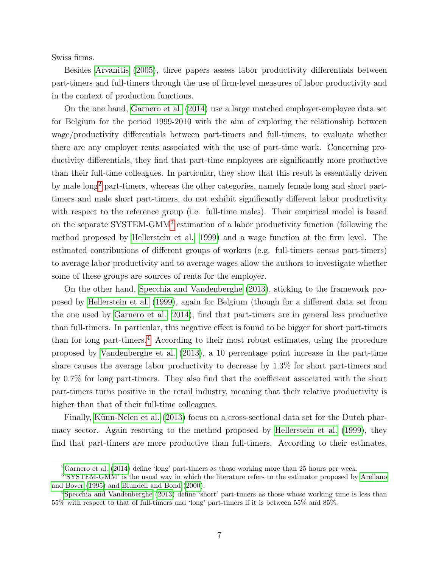Swiss firms.

Besides [Arvanitis](#page-40-9) [\(2005\)](#page-40-9), three papers assess labor productivity differentials between part-timers and full-timers through the use of firm-level measures of labor productivity and in the context of production functions.

On the one hand, [Garnero et al.](#page-40-0) [\(2014\)](#page-40-0) use a large matched employer-employee data set for Belgium for the period 1999-2010 with the aim of exploring the relationship between wage/productivity differentials between part-timers and full-timers, to evaluate whether there are any employer rents associated with the use of part-time work. Concerning productivity differentials, they find that part-time employees are significantly more productive than their full-time colleagues. In particular, they show that this result is essentially driven by male long<sup>[2](#page--1-0)</sup> part-timers, whereas the other categories, namely female long and short parttimers and male short part-timers, do not exhibit significantly different labor productivity with respect to the reference group (i.e. full-time males). Their empirical model is based on the separate SYSTEM-GMM<sup>[3](#page--1-0)</sup> estimation of a labor productivity function (following the method proposed by [Hellerstein et al., 1999\)](#page-41-9) and a wage function at the firm level. The estimated contributions of different groups of workers (e.g. full-timers versus part-timers) to average labor productivity and to average wages allow the authors to investigate whether some of these groups are sources of rents for the employer.

On the other hand, [Specchia and Vandenberghe](#page-41-0) [\(2013\)](#page-41-0), sticking to the framework proposed by [Hellerstein et al.](#page-41-9) [\(1999\)](#page-41-9), again for Belgium (though for a different data set from the one used by [Garnero et al., 2014\)](#page-40-0), find that part-timers are in general less productive than full-timers. In particular, this negative effect is found to be bigger for short part-timers than for long part-timers.<sup>[4](#page--1-0)</sup> According to their most robust estimates, using the procedure proposed by [Vandenberghe et al.](#page-42-0) [\(2013\)](#page-42-0), a 10 percentage point increase in the part-time share causes the average labor productivity to decrease by 1.3% for short part-timers and by 0.7% for long part-timers. They also find that the coefficient associated with the short part-timers turns positive in the retail industry, meaning that their relative productivity is higher than that of their full-time colleagues.

Finally, Künn-Nelen et al. [\(2013\)](#page-41-1) focus on a cross-sectional data set for the Dutch pharmacy sector. Again resorting to the method proposed by [Hellerstein et al.](#page-41-9) [\(1999\)](#page-41-9), they find that part-timers are more productive than full-timers. According to their estimates,

<sup>2</sup>[Garnero et al.](#page-40-0) [\(2014\)](#page-40-0) define 'long' part-timers as those working more than 25 hours per week.

<sup>3</sup> 'SYSTEM-GMM' is the usual way in which the literature refers to the estimator proposed by [Arellano](#page-40-10) [and Bover](#page-40-10) [\(1995\)](#page-40-10) and [Blundell and Bond](#page-40-11) [\(2000\)](#page-40-11).

<sup>4</sup>[Specchia and Vandenberghe](#page-41-0) [\(2013\)](#page-41-0) define 'short' part-timers as those whose working time is less than 55% with respect to that of full-timers and 'long' part-timers if it is between 55% and 85%.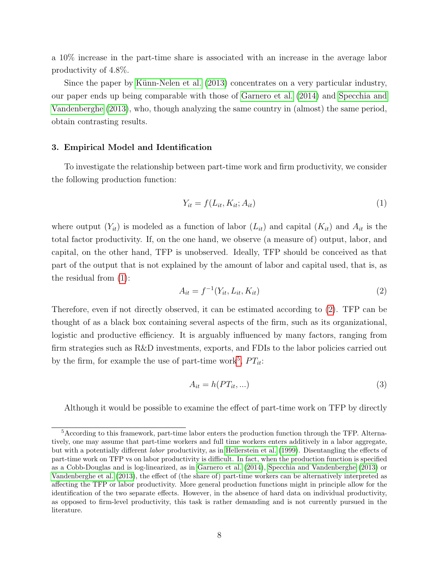a 10% increase in the part-time share is associated with an increase in the average labor productivity of 4.8%.

Since the paper by Künn-Nelen et al. [\(2013\)](#page-41-1) concentrates on a very particular industry, our paper ends up being comparable with those of [Garnero et al.](#page-40-0) [\(2014\)](#page-40-0) and [Specchia and](#page-41-0) [Vandenberghe](#page-41-0) [\(2013\)](#page-41-0), who, though analyzing the same country in (almost) the same period, obtain contrasting results.

#### <span id="page-9-0"></span>3. Empirical Model and Identification

To investigate the relationship between part-time work and firm productivity, we consider the following production function:

<span id="page-9-1"></span>
$$
Y_{it} = f(L_{it}, K_{it}; A_{it})
$$
\n<sup>(1)</sup>

where output  $(Y_{it})$  is modeled as a function of labor  $(L_{it})$  and capital  $(K_{it})$  and  $A_{it}$  is the total factor productivity. If, on the one hand, we observe (a measure of) output, labor, and capital, on the other hand, TFP is unobserved. Ideally, TFP should be conceived as that part of the output that is not explained by the amount of labor and capital used, that is, as the residual from [\(1\)](#page-9-1):

<span id="page-9-2"></span>
$$
A_{it} = f^{-1}(Y_{it}, L_{it}, K_{it})
$$
\n(2)

Therefore, even if not directly observed, it can be estimated according to [\(2\)](#page-9-2). TFP can be thought of as a black box containing several aspects of the firm, such as its organizational, logistic and productive efficiency. It is arguably influenced by many factors, ranging from firm strategies such as R&D investments, exports, and FDIs to the labor policies carried out by the firm, for example the use of part-time work<sup>[5](#page--1-0)</sup>,  $PT_{it}$ :

<span id="page-9-3"></span>
$$
A_{it} = h(PT_{it}, \ldots) \tag{3}
$$

Although it would be possible to examine the effect of part-time work on TFP by directly

<sup>5</sup>According to this framework, part-time labor enters the production function through the TFP. Alternatively, one may assume that part-time workers and full time workers enters additively in a labor aggregate, but with a potentially different labor productivity, as in [Hellerstein et al.](#page-41-9) [\(1999\)](#page-41-9). Disentangling the effects of part-time work on TFP vs on labor productivity is difficult. In fact, when the production function is specified as a Cobb-Douglas and is log-linearized, as in [Garnero et al.](#page-40-0) [\(2014\)](#page-40-0), [Specchia and Vandenberghe](#page-41-0) [\(2013\)](#page-41-0) or [Vandenberghe et al.](#page-42-0) [\(2013\)](#page-42-0), the effect of (the share of) part-time workers can be alternatively interpreted as affecting the TFP or labor productivity. More general production functions might in principle allow for the identification of the two separate effects. However, in the absence of hard data on individual productivity, as opposed to firm-level productivity, this task is rather demanding and is not currently pursued in the literature.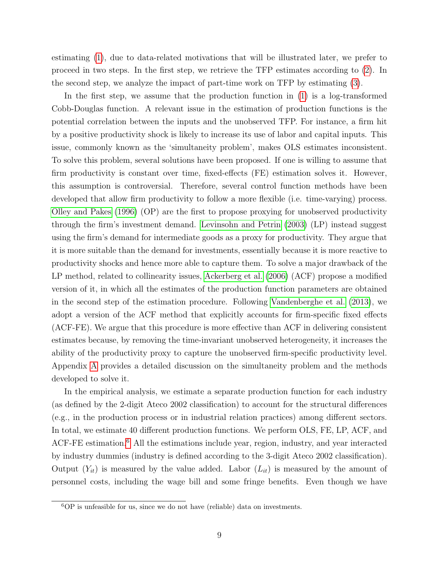estimating [\(1\)](#page-9-1), due to data-related motivations that will be illustrated later, we prefer to proceed in two steps. In the first step, we retrieve the TFP estimates according to [\(2\)](#page-9-2). In the second step, we analyze the impact of part-time work on TFP by estimating [\(3\)](#page-9-3).

In the first step, we assume that the production function in [\(1\)](#page-9-1) is a log-transformed Cobb-Douglas function. A relevant issue in the estimation of production functions is the potential correlation between the inputs and the unobserved TFP. For instance, a firm hit by a positive productivity shock is likely to increase its use of labor and capital inputs. This issue, commonly known as the 'simultaneity problem', makes OLS estimates inconsistent. To solve this problem, several solutions have been proposed. If one is willing to assume that firm productivity is constant over time, fixed-effects (FE) estimation solves it. However, this assumption is controversial. Therefore, several control function methods have been developed that allow firm productivity to follow a more flexible (i.e. time-varying) process. [Olley and Pakes](#page-41-10) [\(1996\)](#page-41-10) (OP) are the first to propose proxying for unobserved productivity through the firm's investment demand. [Levinsohn and Petrin](#page-41-11) [\(2003\)](#page-41-11) (LP) instead suggest using the firm's demand for intermediate goods as a proxy for productivity. They argue that it is more suitable than the demand for investments, essentially because it is more reactive to productivity shocks and hence more able to capture them. To solve a major drawback of the LP method, related to collinearity issues, [Ackerberg et al.](#page-40-2) [\(2006\)](#page-40-2) (ACF) propose a modified version of it, in which all the estimates of the production function parameters are obtained in the second step of the estimation procedure. Following [Vandenberghe et al.](#page-42-0) [\(2013\)](#page-42-0), we adopt a version of the ACF method that explicitly accounts for firm-specific fixed effects (ACF-FE). We argue that this procedure is more effective than ACF in delivering consistent estimates because, by removing the time-invariant unobserved heterogeneity, it increases the ability of the productivity proxy to capture the unobserved firm-specific productivity level. Appendix [A](#page-31-0) provides a detailed discussion on the simultaneity problem and the methods developed to solve it.

In the empirical analysis, we estimate a separate production function for each industry (as defined by the 2-digit Ateco 2002 classification) to account for the structural differences (e.g., in the production process or in industrial relation practices) among different sectors. In total, we estimate 40 different production functions. We perform OLS, FE, LP, ACF, and ACF-FE estimation.<sup>[6](#page--1-0)</sup> All the estimations include year, region, industry, and year interacted by industry dummies (industry is defined according to the 3-digit Ateco 2002 classification). Output  $(Y_{it})$  is measured by the value added. Labor  $(L_{it})$  is measured by the amount of personnel costs, including the wage bill and some fringe benefits. Even though we have

 ${}^{6}OP$  is unfeasible for us, since we do not have (reliable) data on investments.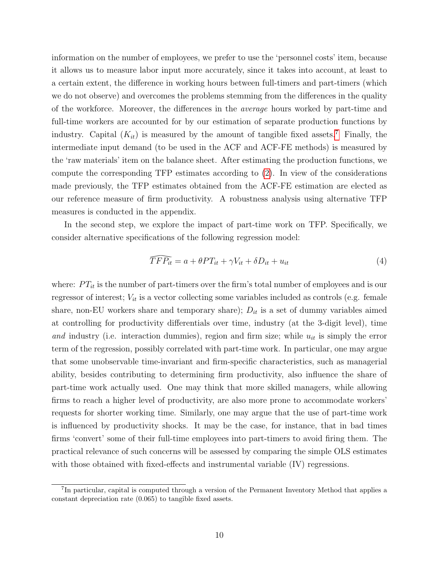information on the number of employees, we prefer to use the 'personnel costs' item, because it allows us to measure labor input more accurately, since it takes into account, at least to a certain extent, the difference in working hours between full-timers and part-timers (which we do not observe) and overcomes the problems stemming from the differences in the quality of the workforce. Moreover, the differences in the average hours worked by part-time and full-time workers are accounted for by our estimation of separate production functions by industry. Capital  $(K_{it})$  is measured by the amount of tangible fixed assets.<sup>[7](#page--1-0)</sup> Finally, the intermediate input demand (to be used in the ACF and ACF-FE methods) is measured by the 'raw materials' item on the balance sheet. After estimating the production functions, we compute the corresponding TFP estimates according to [\(2\)](#page-9-2). In view of the considerations made previously, the TFP estimates obtained from the ACF-FE estimation are elected as our reference measure of firm productivity. A robustness analysis using alternative TFP measures is conducted in the appendix.

In the second step, we explore the impact of part-time work on TFP. Specifically, we consider alternative specifications of the following regression model:

<span id="page-11-0"></span>
$$
\widehat{TFP_{it}} = a + \theta PT_{it} + \gamma V_{it} + \delta D_{it} + u_{it} \tag{4}
$$

 $\widehat{TFP_{it}} = a + \theta PT_{it} + \gamma V_{it} + \delta D_{it} + u_{it}$  (4)<br>where:  $PT_{it}$  is the number of part-timers over the firm's total number of employees and is our regressor of interest;  $V_{it}$  is a vector collecting some variables included as controls (e.g. female share, non-EU workers share and temporary share);  $D_{it}$  is a set of dummy variables aimed at controlling for productivity differentials over time, industry (at the 3-digit level), time and industry (i.e. interaction dummies), region and firm size; while  $u_{it}$  is simply the error term of the regression, possibly correlated with part-time work. In particular, one may argue that some unobservable time-invariant and firm-specific characteristics, such as managerial ability, besides contributing to determining firm productivity, also influence the share of part-time work actually used. One may think that more skilled managers, while allowing firms to reach a higher level of productivity, are also more prone to accommodate workers' requests for shorter working time. Similarly, one may argue that the use of part-time work is influenced by productivity shocks. It may be the case, for instance, that in bad times firms 'convert' some of their full-time employees into part-timers to avoid firing them. The practical relevance of such concerns will be assessed by comparing the simple OLS estimates with those obtained with fixed-effects and instrumental variable (IV) regressions.

<sup>&</sup>lt;sup>7</sup>In particular, capital is computed through a version of the Permanent Inventory Method that applies a constant depreciation rate (0.065) to tangible fixed assets.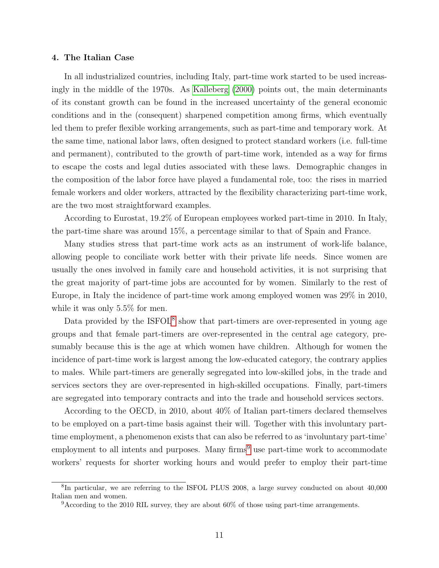#### <span id="page-12-0"></span>4. The Italian Case

In all industrialized countries, including Italy, part-time work started to be used increasingly in the middle of the 1970s. As [Kalleberg](#page-41-12) [\(2000\)](#page-41-12) points out, the main determinants of its constant growth can be found in the increased uncertainty of the general economic conditions and in the (consequent) sharpened competition among firms, which eventually led them to prefer flexible working arrangements, such as part-time and temporary work. At the same time, national labor laws, often designed to protect standard workers (i.e. full-time and permanent), contributed to the growth of part-time work, intended as a way for firms to escape the costs and legal duties associated with these laws. Demographic changes in the composition of the labor force have played a fundamental role, too: the rises in married female workers and older workers, attracted by the flexibility characterizing part-time work, are the two most straightforward examples.

According to Eurostat, 19.2% of European employees worked part-time in 2010. In Italy, the part-time share was around 15%, a percentage similar to that of Spain and France.

Many studies stress that part-time work acts as an instrument of work-life balance, allowing people to conciliate work better with their private life needs. Since women are usually the ones involved in family care and household activities, it is not surprising that the great majority of part-time jobs are accounted for by women. Similarly to the rest of Europe, in Italy the incidence of part-time work among employed women was 29% in 2010, while it was only 5.5% for men.

Data provided by the ISFOL<sup>[8](#page--1-0)</sup> show that part-timers are over-represented in young age groups and that female part-timers are over-represented in the central age category, presumably because this is the age at which women have children. Although for women the incidence of part-time work is largest among the low-educated category, the contrary applies to males. While part-timers are generally segregated into low-skilled jobs, in the trade and services sectors they are over-represented in high-skilled occupations. Finally, part-timers are segregated into temporary contracts and into the trade and household services sectors.

According to the OECD, in 2010, about 40% of Italian part-timers declared themselves to be employed on a part-time basis against their will. Together with this involuntary parttime employment, a phenomenon exists that can also be referred to as 'involuntary part-time' employment to all intents and purposes. Many firms<sup>[9](#page--1-0)</sup> use part-time work to accommodate workers' requests for shorter working hours and would prefer to employ their part-time

<sup>&</sup>lt;sup>8</sup>In particular, we are referring to the ISFOL PLUS 2008, a large survey conducted on about 40,000 Italian men and women.

 $9$ According to the 2010 RIL survey, they are about 60% of those using part-time arrangements.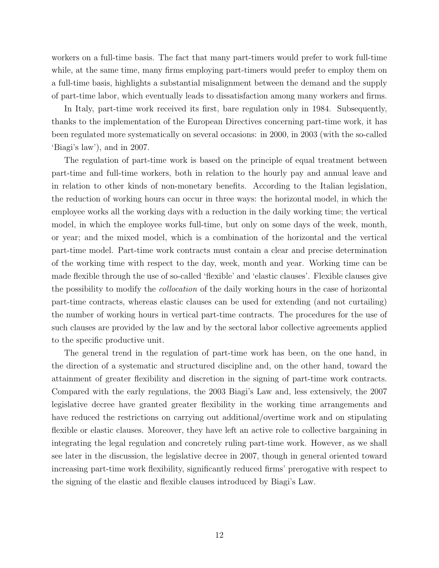workers on a full-time basis. The fact that many part-timers would prefer to work full-time while, at the same time, many firms employing part-timers would prefer to employ them on a full-time basis, highlights a substantial misalignment between the demand and the supply of part-time labor, which eventually leads to dissatisfaction among many workers and firms.

In Italy, part-time work received its first, bare regulation only in 1984. Subsequently, thanks to the implementation of the European Directives concerning part-time work, it has been regulated more systematically on several occasions: in 2000, in 2003 (with the so-called 'Biagi's law'), and in 2007.

The regulation of part-time work is based on the principle of equal treatment between part-time and full-time workers, both in relation to the hourly pay and annual leave and in relation to other kinds of non-monetary benefits. According to the Italian legislation, the reduction of working hours can occur in three ways: the horizontal model, in which the employee works all the working days with a reduction in the daily working time; the vertical model, in which the employee works full-time, but only on some days of the week, month, or year; and the mixed model, which is a combination of the horizontal and the vertical part-time model. Part-time work contracts must contain a clear and precise determination of the working time with respect to the day, week, month and year. Working time can be made flexible through the use of so-called 'flexible' and 'elastic clauses'. Flexible clauses give the possibility to modify the *collocation* of the daily working hours in the case of horizontal part-time contracts, whereas elastic clauses can be used for extending (and not curtailing) the number of working hours in vertical part-time contracts. The procedures for the use of such clauses are provided by the law and by the sectoral labor collective agreements applied to the specific productive unit.

The general trend in the regulation of part-time work has been, on the one hand, in the direction of a systematic and structured discipline and, on the other hand, toward the attainment of greater flexibility and discretion in the signing of part-time work contracts. Compared with the early regulations, the 2003 Biagi's Law and, less extensively, the 2007 legislative decree have granted greater flexibility in the working time arrangements and have reduced the restrictions on carrying out additional/overtime work and on stipulating flexible or elastic clauses. Moreover, they have left an active role to collective bargaining in integrating the legal regulation and concretely ruling part-time work. However, as we shall see later in the discussion, the legislative decree in 2007, though in general oriented toward increasing part-time work flexibility, significantly reduced firms' prerogative with respect to the signing of the elastic and flexible clauses introduced by Biagi's Law.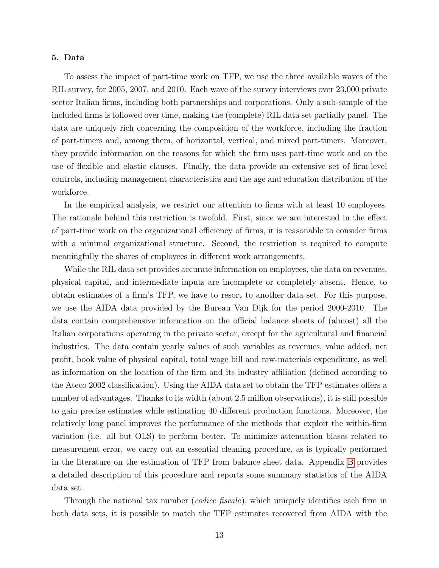#### <span id="page-14-0"></span>5. Data

To assess the impact of part-time work on TFP, we use the three available waves of the RIL survey, for 2005, 2007, and 2010. Each wave of the survey interviews over 23,000 private sector Italian firms, including both partnerships and corporations. Only a sub-sample of the included firms is followed over time, making the (complete) RIL data set partially panel. The data are uniquely rich concerning the composition of the workforce, including the fraction of part-timers and, among them, of horizontal, vertical, and mixed part-timers. Moreover, they provide information on the reasons for which the firm uses part-time work and on the use of flexible and elastic clauses. Finally, the data provide an extensive set of firm-level controls, including management characteristics and the age and education distribution of the workforce.

In the empirical analysis, we restrict our attention to firms with at least 10 employees. The rationale behind this restriction is twofold. First, since we are interested in the effect of part-time work on the organizational efficiency of firms, it is reasonable to consider firms with a minimal organizational structure. Second, the restriction is required to compute meaningfully the shares of employees in different work arrangements.

While the RIL data set provides accurate information on employees, the data on revenues, physical capital, and intermediate inputs are incomplete or completely absent. Hence, to obtain estimates of a firm's TFP, we have to resort to another data set. For this purpose, we use the AIDA data provided by the Bureau Van Dijk for the period 2000-2010. The data contain comprehensive information on the official balance sheets of (almost) all the Italian corporations operating in the private sector, except for the agricultural and financial industries. The data contain yearly values of such variables as revenues, value added, net profit, book value of physical capital, total wage bill and raw-materials expenditure, as well as information on the location of the firm and its industry affiliation (defined according to the Ateco 2002 classification). Using the AIDA data set to obtain the TFP estimates offers a number of advantages. Thanks to its width (about 2.5 million observations), it is still possible to gain precise estimates while estimating 40 different production functions. Moreover, the relatively long panel improves the performance of the methods that exploit the within-firm variation (i.e. all but OLS) to perform better. To minimize attenuation biases related to measurement error, we carry out an essential cleaning procedure, as is typically performed in the literature on the estimation of TFP from balance sheet data. Appendix [B](#page-36-0) provides a detailed description of this procedure and reports some summary statistics of the AIDA data set.

Through the national tax number *(codice fiscale)*, which uniquely identifies each firm in both data sets, it is possible to match the TFP estimates recovered from AIDA with the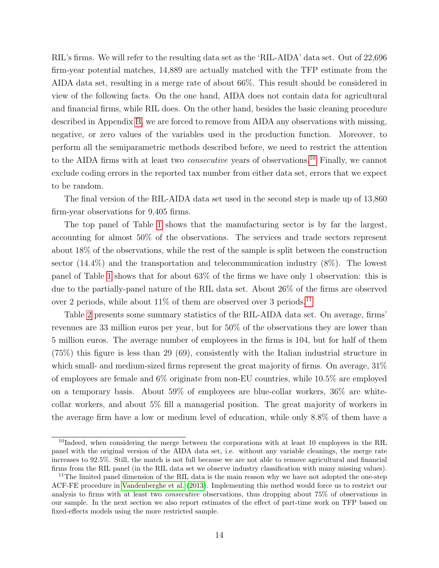RIL's firms. We will refer to the resulting data set as the 'RIL-AIDA' data set. Out of 22,696 firm-year potential matches, 14,889 are actually matched with the TFP estimate from the AIDA data set, resulting in a merge rate of about 66%. This result should be considered in view of the following facts. On the one hand, AIDA does not contain data for agricultural and financial firms, while RIL does. On the other hand, besides the basic cleaning procedure described in Appendix [B,](#page-36-0) we are forced to remove from AIDA any observations with missing, negative, or zero values of the variables used in the production function. Moreover, to perform all the semiparametric methods described before, we need to restrict the attention to the AIDA firms with at least two consecutive years of observations.[10](#page--1-0) Finally, we cannot exclude coding errors in the reported tax number from either data set, errors that we expect to be random.

The final version of the RIL-AIDA data set used in the second step is made up of 13,860 firm-year observations for 9,405 firms.

The top panel of Table [1](#page-25-0) shows that the manufacturing sector is by far the largest, accounting for almost 50% of the observations. The services and trade sectors represent about 18% of the observations, while the rest of the sample is split between the construction sector (14.4%) and the transportation and telecommunication industry (8%). The lowest panel of Table [1](#page-25-0) shows that for about 63% of the firms we have only 1 observation: this is due to the partially-panel nature of the RIL data set. About 26% of the firms are observed over 2 periods, while about  $11\%$  $11\%$  of them are observed over 3 periods.<sup>11</sup>

Table [2](#page-25-1) presents some summary statistics of the RIL-AIDA data set. On average, firms' revenues are 33 million euros per year, but for 50% of the observations they are lower than 5 million euros. The average number of employees in the firms is 104, but for half of them (75%) this figure is less than 29 (69), consistently with the Italian industrial structure in which small- and medium-sized firms represent the great majority of firms. On average,  $31\%$ of employees are female and 6% originate from non-EU countries, while 10.5% are employed on a temporary basis. About 59% of employees are blue-collar workers, 36% are whitecollar workers, and about 5% fill a managerial position. The great majority of workers in the average firm have a low or medium level of education, while only 8.8% of them have a

 $10$ Indeed, when considering the merge between the corporations with at least 10 employees in the RIL panel with the original version of the AIDA data set, i.e. without any variable cleanings, the merge rate increases to 92.5%. Still, the match is not full because we are not able to remove agricultural and financial firms from the RIL panel (in the RIL data set we observe industry classification with many missing values).

<sup>&</sup>lt;sup>11</sup>The limited panel dimension of the RIL data is the main reason why we have not adopted the one-step ACF-FE procedure in [Vandenberghe et al.](#page-42-0) [\(2013\)](#page-42-0). Implementing this method would force us to restrict our analysis to firms with at least two consecutive observations, thus dropping about 75% of observations in our sample. In the next section we also report estimates of the effect of part-time work on TFP based on fixed-effects models using the more restricted sample.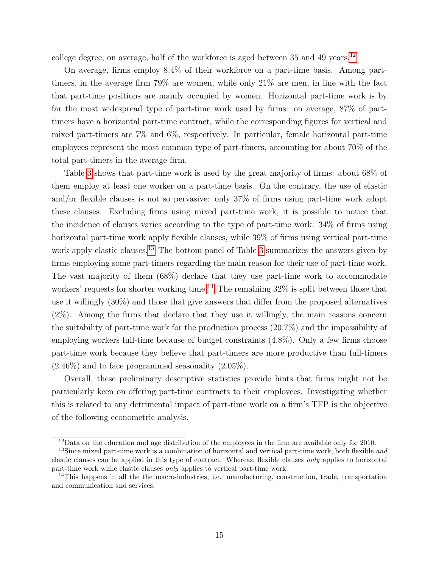college degree; on average, half of the workforce is aged between  $35$  and  $49$  years.<sup>[12](#page--1-0)</sup>

On average, firms employ 8.4% of their workforce on a part-time basis. Among parttimers, in the average firm 79% are women, while only 21% are men, in line with the fact that part-time positions are mainly occupied by women. Horizontal part-time work is by far the most widespread type of part-time work used by firms: on average, 87% of parttimers have a horizontal part-time contract, while the corresponding figures for vertical and mixed part-timers are 7% and 6%, respectively. In particular, female horizontal part-time employees represent the most common type of part-timers, accounting for about 70% of the total part-timers in the average firm.

Table [3](#page-27-0) shows that part-time work is used by the great majority of firms: about 68% of them employ at least one worker on a part-time basis. On the contrary, the use of elastic and/or flexible clauses is not so pervasive: only 37% of firms using part-time work adopt these clauses. Excluding firms using mixed part-time work, it is possible to notice that the incidence of clauses varies according to the type of part-time work: 34% of firms using horizontal part-time work apply flexible clauses, while 39% of firms using vertical part-time work apply elastic clauses.<sup>[13](#page--1-0)</sup> The bottom panel of Table [3](#page-27-0) summarizes the answers given by firms employing some part-timers regarding the main reason for their use of part-time work. The vast majority of them (68%) declare that they use part-time work to accommodate workers' requests for shorter working time.<sup>[14](#page--1-0)</sup> The remaining  $32\%$  is split between those that use it willingly (30%) and those that give answers that differ from the proposed alternatives (2%). Among the firms that declare that they use it willingly, the main reasons concern the suitability of part-time work for the production process (20.7%) and the impossibility of employing workers full-time because of budget constraints (4.8%). Only a few firms choose part-time work because they believe that part-timers are more productive than full-timers  $(2.46\%)$  and to face programmed seasonality  $(2.05\%).$ 

Overall, these preliminary descriptive statistics provide hints that firms might not be particularly keen on offering part-time contracts to their employees. Investigating whether this is related to any detrimental impact of part-time work on a firm's TFP is the objective of the following econometric analysis.

 $12$ Data on the education and age distribution of the employees in the firm are available only for 2010.

<sup>&</sup>lt;sup>13</sup>Since mixed part-time work is a combination of horizontal and vertical part-time work, both flexible and elastic clauses can be applied in this type of contract. Whereas, flexible clauses only applies to horizontal part-time work while elastic clauses only applies to vertical part-time work.

<sup>&</sup>lt;sup>14</sup>This happens in all the the macro-industries, i.e. manufacturing, construction, trade, transportation and communication and services.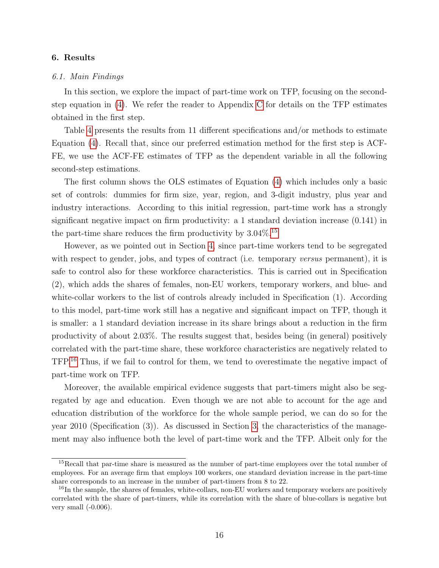### <span id="page-17-0"></span>6. Results

#### 6.1. Main Findings

In this section, we explore the impact of part-time work on TFP, focusing on the secondstep equation in  $(4)$ . We refer the reader to Appendix [C](#page-38-0) for details on the TFP estimates obtained in the first step.

Table [4](#page-28-0) presents the results from 11 different specifications and/or methods to estimate Equation [\(4\)](#page-11-0). Recall that, since our preferred estimation method for the first step is ACF-FE, we use the ACF-FE estimates of TFP as the dependent variable in all the following second-step estimations.

The first column shows the OLS estimates of Equation [\(4\)](#page-11-0) which includes only a basic set of controls: dummies for firm size, year, region, and 3-digit industry, plus year and industry interactions. According to this initial regression, part-time work has a strongly significant negative impact on firm productivity: a 1 standard deviation increase (0.141) in the part-time share reduces the firm productivity by  $3.04\%$ .<sup>[15](#page--1-0)</sup>

However, as we pointed out in Section [4,](#page-12-0) since part-time workers tend to be segregated with respect to gender, jobs, and types of contract (i.e. temporary versus permanent), it is safe to control also for these workforce characteristics. This is carried out in Specification (2), which adds the shares of females, non-EU workers, temporary workers, and blue- and white-collar workers to the list of controls already included in Specification  $(1)$ . According to this model, part-time work still has a negative and significant impact on TFP, though it is smaller: a 1 standard deviation increase in its share brings about a reduction in the firm productivity of about 2.03%. The results suggest that, besides being (in general) positively correlated with the part-time share, these workforce characteristics are negatively related to TFP.[16](#page--1-0) Thus, if we fail to control for them, we tend to overestimate the negative impact of part-time work on TFP.

Moreover, the available empirical evidence suggests that part-timers might also be segregated by age and education. Even though we are not able to account for the age and education distribution of the workforce for the whole sample period, we can do so for the year 2010 (Specification (3)). As discussed in Section [3,](#page-9-0) the characteristics of the management may also influence both the level of part-time work and the TFP. Albeit only for the

<sup>15</sup>Recall that par-time share is measured as the number of part-time employees over the total number of employees. For an average firm that employs 100 workers, one standard deviation increase in the part-time share corresponds to an increase in the number of part-timers from 8 to 22.

<sup>&</sup>lt;sup>16</sup>In the sample, the shares of females, white-collars, non-EU workers and temporary workers are positively correlated with the share of part-timers, while its correlation with the share of blue-collars is negative but very small  $(-0.006)$ .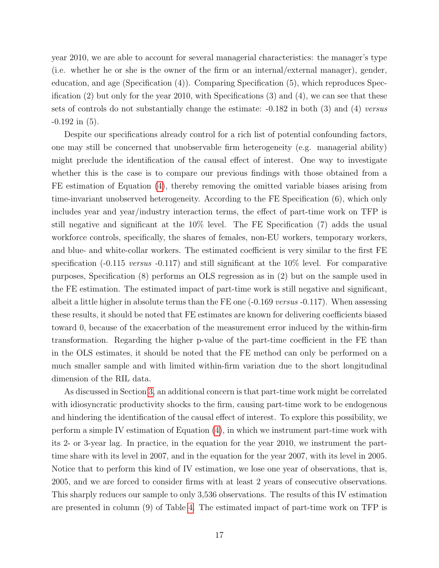year 2010, we are able to account for several managerial characteristics: the manager's type (i.e. whether he or she is the owner of the firm or an internal/external manager), gender, education, and age (Specification (4)). Comparing Specification (5), which reproduces Specification (2) but only for the year 2010, with Specifications (3) and (4), we can see that these sets of controls do not substantially change the estimate:  $-0.182$  in both (3) and (4) versus  $-0.192$  in  $(5)$ .

Despite our specifications already control for a rich list of potential confounding factors, one may still be concerned that unobservable firm heterogeneity (e.g. managerial ability) might preclude the identification of the causal effect of interest. One way to investigate whether this is the case is to compare our previous findings with those obtained from a FE estimation of Equation [\(4\)](#page-11-0), thereby removing the omitted variable biases arising from time-invariant unobserved heterogeneity. According to the FE Specification (6), which only includes year and year/industry interaction terms, the effect of part-time work on TFP is still negative and significant at the 10% level. The FE Specification (7) adds the usual workforce controls, specifically, the shares of females, non-EU workers, temporary workers, and blue- and white-collar workers. The estimated coefficient is very similar to the first FE specification (-0.115 versus -0.117) and still significant at the 10% level. For comparative purposes, Specification (8) performs an OLS regression as in (2) but on the sample used in the FE estimation. The estimated impact of part-time work is still negative and significant, albeit a little higher in absolute terms than the FE one  $(-0.169 \text{ versus } -0.117)$ . When assessing these results, it should be noted that FE estimates are known for delivering coefficients biased toward 0, because of the exacerbation of the measurement error induced by the within-firm transformation. Regarding the higher p-value of the part-time coefficient in the FE than in the OLS estimates, it should be noted that the FE method can only be performed on a much smaller sample and with limited within-firm variation due to the short longitudinal dimension of the RIL data.

As discussed in Section [3,](#page-9-0) an additional concern is that part-time work might be correlated with idiosyncratic productivity shocks to the firm, causing part-time work to be endogenous and hindering the identification of the causal effect of interest. To explore this possibility, we perform a simple IV estimation of Equation [\(4\)](#page-11-0), in which we instrument part-time work with its 2- or 3-year lag. In practice, in the equation for the year 2010, we instrument the parttime share with its level in 2007, and in the equation for the year 2007, with its level in 2005. Notice that to perform this kind of IV estimation, we lose one year of observations, that is, 2005, and we are forced to consider firms with at least 2 years of consecutive observations. This sharply reduces our sample to only 3,536 observations. The results of this IV estimation are presented in column (9) of Table [4.](#page-28-0) The estimated impact of part-time work on TFP is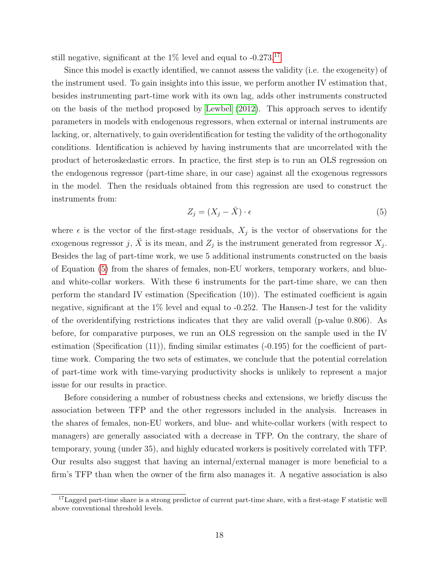still negative, significant at the  $1\%$  level and equal to  $-0.273$ .<sup>[17](#page--1-0)</sup>

Since this model is exactly identified, we cannot assess the validity (i.e. the exogeneity) of the instrument used. To gain insights into this issue, we perform another IV estimation that, besides instrumenting part-time work with its own lag, adds other instruments constructed on the basis of the method proposed by [Lewbel](#page-41-13) [\(2012\)](#page-41-13). This approach serves to identify parameters in models with endogenous regressors, when external or internal instruments are lacking, or, alternatively, to gain overidentification for testing the validity of the orthogonality conditions. Identification is achieved by having instruments that are uncorrelated with the product of heteroskedastic errors. In practice, the first step is to run an OLS regression on the endogenous regressor (part-time share, in our case) against all the exogenous regressors in the model. Then the residuals obtained from this regression are used to construct the instruments from:

<span id="page-19-0"></span>
$$
Z_j = (X_j - \bar{X}) \cdot \epsilon \tag{5}
$$

where  $\epsilon$  is the vector of the first-stage residuals,  $X_j$  is the vector of observations for the exogenous regressor j,  $\bar{X}$  is its mean, and  $Z_j$  is the instrument generated from regressor  $X_j$ . Besides the lag of part-time work, we use 5 additional instruments constructed on the basis of Equation [\(5\)](#page-19-0) from the shares of females, non-EU workers, temporary workers, and blueand white-collar workers. With these 6 instruments for the part-time share, we can then perform the standard IV estimation (Specification (10)). The estimated coefficient is again negative, significant at the 1% level and equal to -0.252. The Hansen-J test for the validity of the overidentifying restrictions indicates that they are valid overall (p-value 0.806). As before, for comparative purposes, we run an OLS regression on the sample used in the IV estimation (Specification  $(11)$ ), finding similar estimates  $(-0.195)$  for the coefficient of parttime work. Comparing the two sets of estimates, we conclude that the potential correlation of part-time work with time-varying productivity shocks is unlikely to represent a major issue for our results in practice.

Before considering a number of robustness checks and extensions, we briefly discuss the association between TFP and the other regressors included in the analysis. Increases in the shares of females, non-EU workers, and blue- and white-collar workers (with respect to managers) are generally associated with a decrease in TFP. On the contrary, the share of temporary, young (under 35), and highly educated workers is positively correlated with TFP. Our results also suggest that having an internal/external manager is more beneficial to a firm's TFP than when the owner of the firm also manages it. A negative association is also

<sup>&</sup>lt;sup>17</sup>Lagged part-time share is a strong predictor of current part-time share, with a first-stage F statistic well above conventional threshold levels.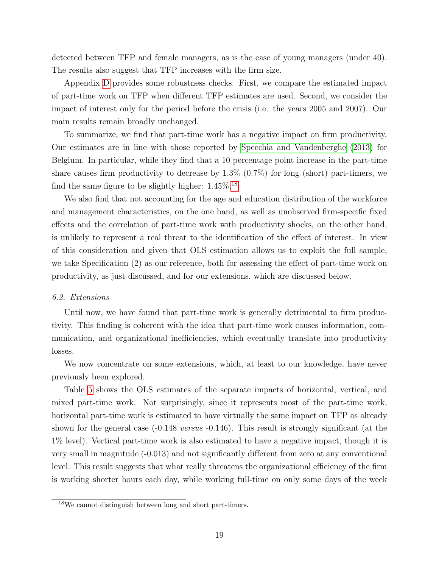detected between TFP and female managers, as is the case of young managers (under 40). The results also suggest that TFP increases with the firm size.

Appendix [D](#page-39-0) provides some robustness checks. First, we compare the estimated impact of part-time work on TFP when different TFP estimates are used. Second, we consider the impact of interest only for the period before the crisis (i.e. the years 2005 and 2007). Our main results remain broadly unchanged.

To summarize, we find that part-time work has a negative impact on firm productivity. Our estimates are in line with those reported by [Specchia and Vandenberghe](#page-41-0) [\(2013\)](#page-41-0) for Belgium. In particular, while they find that a 10 percentage point increase in the part-time share causes firm productivity to decrease by  $1.3\%$  (0.7%) for long (short) part-timers, we find the same figure to be slightly higher:  $1.45\%$ <sup>[18](#page--1-0)</sup>

We also find that not accounting for the age and education distribution of the workforce and management characteristics, on the one hand, as well as unobserved firm-specific fixed effects and the correlation of part-time work with productivity shocks, on the other hand, is unlikely to represent a real threat to the identification of the effect of interest. In view of this consideration and given that OLS estimation allows us to exploit the full sample, we take Specification (2) as our reference, both for assessing the effect of part-time work on productivity, as just discussed, and for our extensions, which are discussed below.

#### 6.2. Extensions

Until now, we have found that part-time work is generally detrimental to firm productivity. This finding is coherent with the idea that part-time work causes information, communication, and organizational inefficiencies, which eventually translate into productivity losses.

We now concentrate on some extensions, which, at least to our knowledge, have never previously been explored.

Table [5](#page-29-0) shows the OLS estimates of the separate impacts of horizontal, vertical, and mixed part-time work. Not surprisingly, since it represents most of the part-time work, horizontal part-time work is estimated to have virtually the same impact on TFP as already shown for the general case  $(-0.148 \text{ versus } -0.146)$ . This result is strongly significant (at the 1% level). Vertical part-time work is also estimated to have a negative impact, though it is very small in magnitude (-0.013) and not significantly different from zero at any conventional level. This result suggests that what really threatens the organizational efficiency of the firm is working shorter hours each day, while working full-time on only some days of the week

<sup>18</sup>We cannot distinguish between long and short part-timers.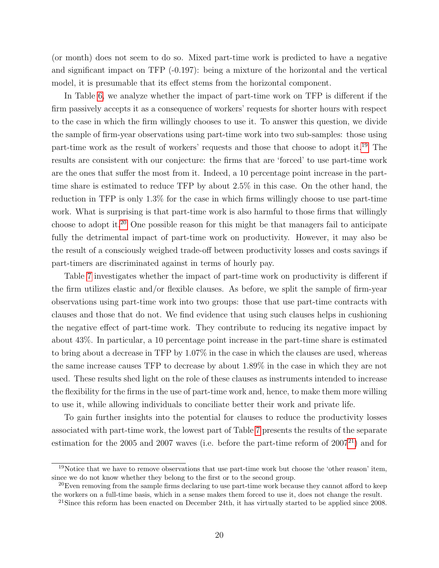(or month) does not seem to do so. Mixed part-time work is predicted to have a negative and significant impact on TFP (-0.197): being a mixture of the horizontal and the vertical model, it is presumable that its effect stems from the horizontal component.

In Table [6,](#page-29-1) we analyze whether the impact of part-time work on TFP is different if the firm passively accepts it as a consequence of workers' requests for shorter hours with respect to the case in which the firm willingly chooses to use it. To answer this question, we divide the sample of firm-year observations using part-time work into two sub-samples: those using part-time work as the result of workers' requests and those that choose to adopt it.[19](#page--1-0) The results are consistent with our conjecture: the firms that are 'forced' to use part-time work are the ones that suffer the most from it. Indeed, a 10 percentage point increase in the parttime share is estimated to reduce TFP by about 2.5% in this case. On the other hand, the reduction in TFP is only 1.3% for the case in which firms willingly choose to use part-time work. What is surprising is that part-time work is also harmful to those firms that willingly choose to adopt it.[20](#page--1-0) One possible reason for this might be that managers fail to anticipate fully the detrimental impact of part-time work on productivity. However, it may also be the result of a consciously weighed trade-off between productivity losses and costs savings if part-timers are discriminated against in terms of hourly pay.

Table [7](#page-30-0) investigates whether the impact of part-time work on productivity is different if the firm utilizes elastic and/or flexible clauses. As before, we split the sample of firm-year observations using part-time work into two groups: those that use part-time contracts with clauses and those that do not. We find evidence that using such clauses helps in cushioning the negative effect of part-time work. They contribute to reducing its negative impact by about 43%. In particular, a 10 percentage point increase in the part-time share is estimated to bring about a decrease in TFP by 1.07% in the case in which the clauses are used, whereas the same increase causes TFP to decrease by about 1.89% in the case in which they are not used. These results shed light on the role of these clauses as instruments intended to increase the flexibility for the firms in the use of part-time work and, hence, to make them more willing to use it, while allowing individuals to conciliate better their work and private life.

To gain further insights into the potential for clauses to reduce the productivity losses associated with part-time work, the lowest part of Table [7](#page-30-0) presents the results of the separate estimation for the 2005 and 2007 waves (i.e. before the part-time reform of  $2007^{21}$  $2007^{21}$  $2007^{21}$ ) and for

<sup>&</sup>lt;sup>19</sup>Notice that we have to remove observations that use part-time work but choose the 'other reason' item, since we do not know whether they belong to the first or to the second group.

 $^{20}$ Even removing from the sample firms declaring to use part-time work because they cannot afford to keep the workers on a full-time basis, which in a sense makes them forced to use it, does not change the result.

<sup>&</sup>lt;sup>21</sup>Since this reform has been enacted on December 24th, it has virtually started to be applied since  $2008$ .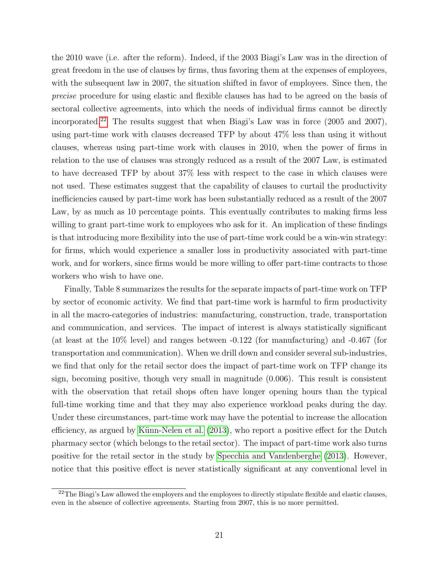the 2010 wave (i.e. after the reform). Indeed, if the 2003 Biagi's Law was in the direction of great freedom in the use of clauses by firms, thus favoring them at the expenses of employees, with the subsequent law in 2007, the situation shifted in favor of employees. Since then, the precise procedure for using elastic and flexible clauses has had to be agreed on the basis of sectoral collective agreements, into which the needs of individual firms cannot be directly incorporated.<sup>[22](#page--1-0)</sup> The results suggest that when Biagi's Law was in force  $(2005 \text{ and } 2007)$ , using part-time work with clauses decreased TFP by about 47% less than using it without clauses, whereas using part-time work with clauses in 2010, when the power of firms in relation to the use of clauses was strongly reduced as a result of the 2007 Law, is estimated to have decreased TFP by about 37% less with respect to the case in which clauses were not used. These estimates suggest that the capability of clauses to curtail the productivity inefficiencies caused by part-time work has been substantially reduced as a result of the 2007 Law, by as much as 10 percentage points. This eventually contributes to making firms less willing to grant part-time work to employees who ask for it. An implication of these findings is that introducing more flexibility into the use of part-time work could be a win-win strategy: for firms, which would experience a smaller loss in productivity associated with part-time work, and for workers, since firms would be more willing to offer part-time contracts to those workers who wish to have one.

Finally, Table 8 summarizes the results for the separate impacts of part-time work on TFP by sector of economic activity. We find that part-time work is harmful to firm productivity in all the macro-categories of industries: manufacturing, construction, trade, transportation and communication, and services. The impact of interest is always statistically significant (at least at the 10% level) and ranges between -0.122 (for manufacturing) and -0.467 (for transportation and communication). When we drill down and consider several sub-industries, we find that only for the retail sector does the impact of part-time work on TFP change its sign, becoming positive, though very small in magnitude (0.006). This result is consistent with the observation that retail shops often have longer opening hours than the typical full-time working time and that they may also experience workload peaks during the day. Under these circumstances, part-time work may have the potential to increase the allocation efficiency, as argued by Künn-Nelen et al.  $(2013)$ , who report a positive effect for the Dutch pharmacy sector (which belongs to the retail sector). The impact of part-time work also turns positive for the retail sector in the study by [Specchia and Vandenberghe](#page-41-0) [\(2013\)](#page-41-0). However, notice that this positive effect is never statistically significant at any conventional level in

 $22$ The Biagi's Law allowed the employers and the employees to directly stipulate flexible and elastic clauses, even in the absence of collective agreements. Starting from 2007, this is no more permitted.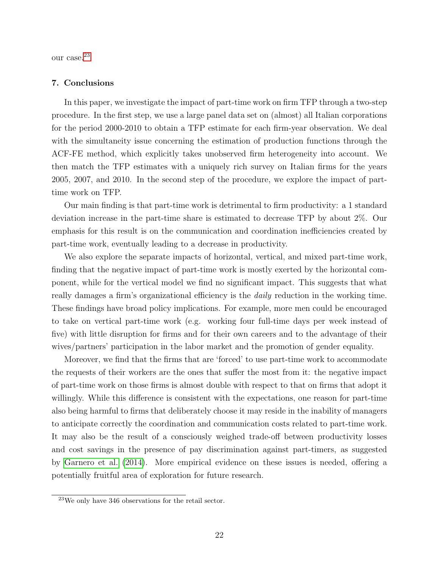our case.<sup>[23](#page--1-0)</sup>

#### <span id="page-23-0"></span>7. Conclusions

In this paper, we investigate the impact of part-time work on firm TFP through a two-step procedure. In the first step, we use a large panel data set on (almost) all Italian corporations for the period 2000-2010 to obtain a TFP estimate for each firm-year observation. We deal with the simultaneity issue concerning the estimation of production functions through the ACF-FE method, which explicitly takes unobserved firm heterogeneity into account. We then match the TFP estimates with a uniquely rich survey on Italian firms for the years 2005, 2007, and 2010. In the second step of the procedure, we explore the impact of parttime work on TFP.

Our main finding is that part-time work is detrimental to firm productivity: a 1 standard deviation increase in the part-time share is estimated to decrease TFP by about 2%. Our emphasis for this result is on the communication and coordination inefficiencies created by part-time work, eventually leading to a decrease in productivity.

We also explore the separate impacts of horizontal, vertical, and mixed part-time work, finding that the negative impact of part-time work is mostly exerted by the horizontal component, while for the vertical model we find no significant impact. This suggests that what really damages a firm's organizational efficiency is the *daily* reduction in the working time. These findings have broad policy implications. For example, more men could be encouraged to take on vertical part-time work (e.g. working four full-time days per week instead of five) with little disruption for firms and for their own careers and to the advantage of their wives/partners' participation in the labor market and the promotion of gender equality.

Moreover, we find that the firms that are 'forced' to use part-time work to accommodate the requests of their workers are the ones that suffer the most from it: the negative impact of part-time work on those firms is almost double with respect to that on firms that adopt it willingly. While this difference is consistent with the expectations, one reason for part-time also being harmful to firms that deliberately choose it may reside in the inability of managers to anticipate correctly the coordination and communication costs related to part-time work. It may also be the result of a consciously weighed trade-off between productivity losses and cost savings in the presence of pay discrimination against part-timers, as suggested by [Garnero et al.](#page-40-0) [\(2014\)](#page-40-0). More empirical evidence on these issues is needed, offering a potentially fruitful area of exploration for future research.

<sup>23</sup>We only have 346 observations for the retail sector.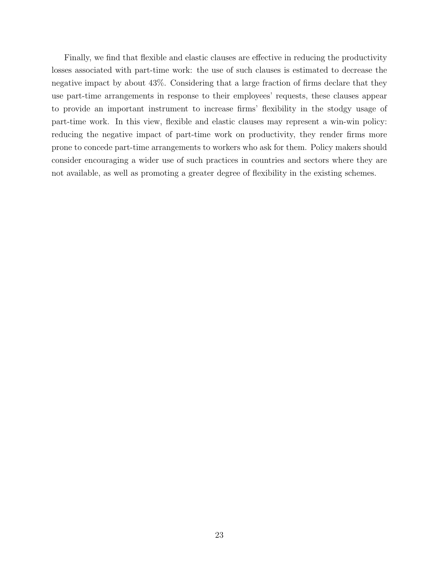Finally, we find that flexible and elastic clauses are effective in reducing the productivity losses associated with part-time work: the use of such clauses is estimated to decrease the negative impact by about 43%. Considering that a large fraction of firms declare that they use part-time arrangements in response to their employees' requests, these clauses appear to provide an important instrument to increase firms' flexibility in the stodgy usage of part-time work. In this view, flexible and elastic clauses may represent a win-win policy: reducing the negative impact of part-time work on productivity, they render firms more prone to concede part-time arrangements to workers who ask for them. Policy makers should consider encouraging a wider use of such practices in countries and sectors where they are not available, as well as promoting a greater degree of flexibility in the existing schemes.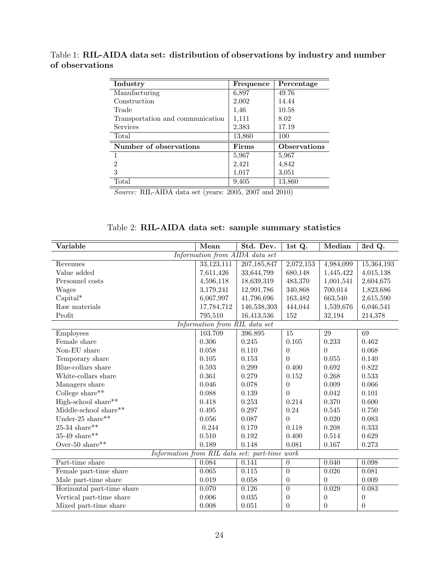<span id="page-25-0"></span>Table 1: RIL-AIDA data set: distribution of observations by industry and number of observations

| Industry                         | Frequence | Percentage          |
|----------------------------------|-----------|---------------------|
| Manufacturing                    | 6,897     | 49.76               |
| Construction                     | 2,002     | 14.44               |
| Trade                            | 1,46      | 10.58               |
| Transportation and communication | 1,111     | 8.02                |
| <b>Services</b>                  | 2,383     | 17.19               |
| Total                            | 13,860    | 100                 |
| Number of observations           | Firms     | <b>Observations</b> |
|                                  | 5,967     | 5,967               |
| $\overline{2}$                   | 2,421     | 4,842               |
| 3                                | 1,017     | 3,051               |
| Total                            | 9,405     | 13,860              |

Source: RIL-AIDA data set (years: 2005, 2007 and 2010)

Table 2: RIL-AIDA data set: sample summary statistics

<span id="page-25-1"></span>

| Variable                   | Mean                                          | Std. Dev.   | 1st Q.          | Median    | 3rd Q.           |
|----------------------------|-----------------------------------------------|-------------|-----------------|-----------|------------------|
|                            | Information from AIDA data set                |             |                 |           |                  |
| Revenues                   | 33,123,111                                    | 207,185,847 | 2,072,153       | 4,984,099 | 15,364,193       |
| Value added                | 7,611,426                                     | 33,644,799  | 680,148         | 1,445,422 | 4,015,138        |
| Personnel costs            | 4,596,118                                     | 18,639,319  | 483,370         | 1,001,541 | 2,604,675        |
| Wages                      | 3,179,241                                     | 12,991,786  | 340,868         | 700,014   | 1,823,686        |
| $Capital^*$                | 6,067,997                                     | 41,796,696  | 163,482         | 663,540   | 2,615,590        |
| Raw materials              | 17,784,712                                    | 146,538,303 | 444,044         | 1,539,676 | 6,046,541        |
| Profit                     | 795,510                                       | 16,413,536  | 152             | 32,194    | 214,378          |
|                            | Information from RIL data set                 |             |                 |           |                  |
| Employees                  | 103.709                                       | 396.895     | $\overline{15}$ | 29        | 69               |
| Female share               | 0.306                                         | 0.245       | 0.105           | 0.233     | 0.462            |
| Non-EU share               | 0.058                                         | 0.110       | $\theta$        | $\theta$  | 0.068            |
| Temporary share            | 0.105                                         | 0.153       | $\theta$        | 0.055     | 0.140            |
| Blue-collars share         | 0.593                                         | 0.299       | 0.400           | 0.692     | 0.822            |
| White-collars share        | 0.361                                         | 0.279       | 0.152           | 0.268     | 0.533            |
| Managers share             | 0.046                                         | 0.078       | $\theta$        | 0.009     | 0.066            |
| College share**            | 0.088                                         | 0.139       | 0               | 0.042     | 0.101            |
| High-school share**        | 0.418                                         | 0.253       | 0.214           | 0.370     | 0.600            |
| Middle-school share**      | 0.495                                         | 0.297       | 0.24            | 0.545     | 0.750            |
| Under-25 share**           | 0.056                                         | 0.087       | 0               | 0.020     | 0.083            |
| $25-34$ share**            | 0.244                                         | 0.179       | 0.118           | 0.208     | 0.333            |
| 35-49 share**              | 0.510                                         | 0.192       | 0.400           | 0.514     | 0.629            |
| Over-50 share**            | 0.189                                         | 0.148       | 0.081           | 0.167     | 0.273            |
|                            | Information from RIL data set: part-time work |             |                 |           |                  |
| Part-time share            | 0.084                                         | 0.141       | $\theta$        | 0.040     | 0.098            |
| Female part-time share     | 0.065                                         | 0.115       | $\overline{0}$  | 0.026     | 0.081            |
| Male part-time share       | 0.019                                         | 0.058       | $\theta$        | $\theta$  | 0.009            |
| Horizontal part-time share | 0.070                                         | 0.126       | $\overline{0}$  | 0.029     | 0.083            |
| Vertical part-time share   | 0.006                                         | 0.035       | $\theta$        | $\theta$  | $\boldsymbol{0}$ |
| Mixed part-time share      | 0.008                                         | 0.051       | $\theta$        | $\theta$  | $\theta$         |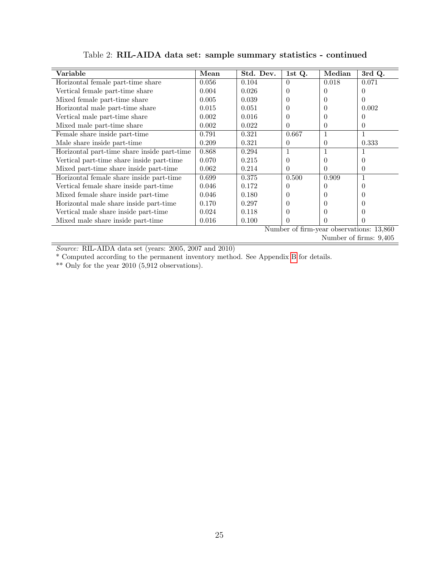| Variable                                    | Mean  | Std. Dev. | 1st Q. | Median           | 3rd Q.                                   |  |  |
|---------------------------------------------|-------|-----------|--------|------------------|------------------------------------------|--|--|
| Horizontal female part-time share           | 0.056 | 0.104     | 0      | 0.018            | 0.071                                    |  |  |
| Vertical female part-time share             | 0.004 | 0.026     |        |                  |                                          |  |  |
| Mixed female part-time share                | 0.005 | 0.039     |        | $\Omega$         | $\Omega$                                 |  |  |
| Horizontal male part-time share             | 0.015 | 0.051     | 0      | $\Omega$         | 0.002                                    |  |  |
| Vertical male part-time share               | 0.002 | 0.016     |        |                  |                                          |  |  |
| Mixed male part-time share                  | 0.002 | 0.022     | 0      | $\Omega$         | $\Omega$                                 |  |  |
| Female share inside part-time               | 0.791 | 0.321     | 0.667  | 1                |                                          |  |  |
| Male share inside part-time                 | 0.209 | 0.321     | 0      | 0                | 0.333                                    |  |  |
| Horizontal part-time share inside part-time | 0.868 | 0.294     |        | 1                |                                          |  |  |
| Vertical part-time share inside part-time   | 0.070 | 0.215     | 0      | $\Omega$         | $\Omega$                                 |  |  |
| Mixed part-time share inside part-time      | 0.062 | 0.214     | U      | $\Omega$         | $\Omega$                                 |  |  |
| Horizontal female share inside part-time    | 0.699 | 0.375     | 0.500  | 0.909            |                                          |  |  |
| Vertical female share inside part-time      | 0.046 | 0.172     |        |                  | $\left($                                 |  |  |
| Mixed female share inside part-time         | 0.046 | 0.180     | 0      | $\left( \right)$ | $\Omega$                                 |  |  |
| Horizontal male share inside part-time      | 0.170 | 0.297     |        | $\Omega$         |                                          |  |  |
| Vertical male share inside part-time        | 0.024 | 0.118     |        | $\Omega$         | $\Omega$                                 |  |  |
| Mixed male share inside part-time           | 0.016 | 0.100     | O      | $\Omega$         | $\Omega$                                 |  |  |
|                                             |       |           |        |                  | Number of firm-year observations: 13,860 |  |  |
| Number of firms: 9,405                      |       |           |        |                  |                                          |  |  |

Table 2: RIL-AIDA data set: sample summary statistics - continued

Source: RIL-AIDA data set (years: 2005, 2007 and 2010)

\* Computed according to the permanent inventory method. See Appendix [B](#page-36-0) for details.

\*\* Only for the year 2010 (5,912 observations).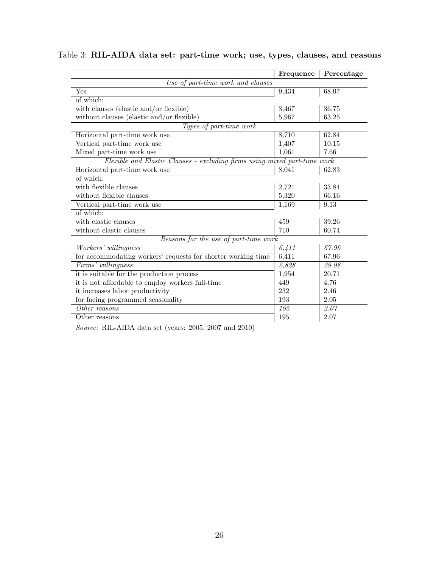|                                                                           | Frequence        | Percentage |
|---------------------------------------------------------------------------|------------------|------------|
| Use of part-time work and clauses                                         |                  |            |
| Yes                                                                       | 9,434            | 68.07      |
| of which:                                                                 |                  |            |
| with clauses (elastic and/or flexible)                                    | 3,467            | 36.75      |
| without clauses (elastic and/or flexible)                                 | 5,967            | 63.25      |
| Types of part-time work                                                   |                  |            |
| Horizontal part-time work use                                             | 8,710            | 62.84      |
| Vertical part-time work use                                               | 1,407            | 10.15      |
| Mixed part-time work use                                                  | 1,061            | 7.66       |
| Flexible and Elastic Clauses - excluding firms using mixed part-time work |                  |            |
| Horizontal part-time work use                                             | 8,041            | 62.83      |
| of which:                                                                 |                  |            |
| with flexible clauses                                                     | 2,721            | 33.84      |
| without flexible clauses                                                  | 5,320            | 66.16      |
| Vertical part-time work use                                               | 1,169            | 9.13       |
| of which:                                                                 |                  |            |
| with elastic clauses                                                      | 459              | 39.26      |
| without elastic clauses                                                   | 710              | 60.74      |
| Reasons for the use of part-time work                                     |                  |            |
| Workers' willingness                                                      | 6,411            | 67.96      |
| for accommodating workers' requests for shorter working time              | 6,411            | 67.96      |
| Firms' willingness                                                        | 2,828            | 29.98      |
| it is suitable for the production process                                 | 1,954            | 20.71      |
| it is not affordable to employ workers full-time                          | 449              | 4.76       |
| it increases labor productivity                                           | 232              | 2.46       |
| for facing programmed seasonality                                         | 193              | 2.05       |
| Other reasons                                                             | $\overline{195}$ | 2.07       |
| Other reasons                                                             | 195              | 2.07       |

### <span id="page-27-0"></span>Table 3: RIL-AIDA data set: part-time work; use, types, clauses, and reasons

Source: RIL-AIDA data set (years: 2005, 2007 and 2010)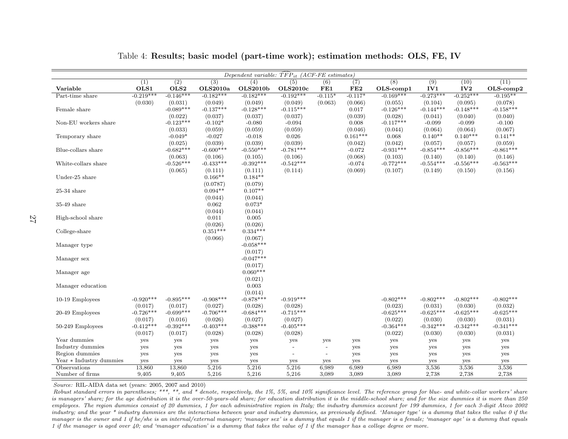|                         |                        |                        |                        | Dependent variable: $\overline{TFP}_{it}$ (ACF-FE estimates) |                        |                                 |                       |                        |                        |                        |                        |
|-------------------------|------------------------|------------------------|------------------------|--------------------------------------------------------------|------------------------|---------------------------------|-----------------------|------------------------|------------------------|------------------------|------------------------|
|                         | (1)                    | $\overline{(2)}$       | $\overline{(3)}$       | $\overline{(4)}$                                             | (5)                    | (6)                             | (7)                   | $\overline{(8)}$       | $\overline{(9)}$       | (10)                   | (11)                   |
| Variable                | OLS1                   | OLS2                   | OLS2010a               | <b>OLS2010b</b>                                              | <b>OLS2010c</b>        | FE1                             | FE2                   | $OLS$ -comp $1$        | IV1                    | IV2                    | $OLS$ -comp $2$        |
| Part-time share         | $-0.219***$            | $-0.146***$            | $-0.182***$            | $-0.182***$                                                  | $-0.192***$            | $-0.115*$                       | $-0.117*$             | $-0.169***$            | $-0.273***$            | $-0.252***$            | $-0.195**$             |
|                         | (0.030)                | (0.031)                | (0.049)                | (0.049)                                                      | (0.049)                | (0.063)                         | (0.066)               | (0.055)                | (0.104)                | (0.095)                | (0.078)                |
| Female share            |                        | $-0.089***$            | $-0.137***$            | $-0.128***$                                                  | $-0.115***$            |                                 | 0.017                 | $-0.126***$            | $-0.144***$            | $-0.148***$            | $-0.158***$            |
|                         |                        | (0.022)                | (0.037)                | (0.037)                                                      | (0.037)                |                                 | (0.039)               | (0.028)                | (0.041)                | (0.040)                | (0.040)                |
| Non-EU workers share    |                        | $-0.123***$            | $-0.102*$              | $-0.080$                                                     | $-0.094$               |                                 | 0.008                 | $-0.117***$            | $-0.099$               | $-0.099$               | $-0.100$               |
|                         |                        | (0.033)<br>$-0.049*$   | (0.059)<br>$-0.027$    | (0.059)<br>$-0.018$                                          | (0.059)<br>0.026       |                                 | (0.046)<br>$0.161***$ | (0.044)<br>0.068       | (0.064)<br>$0.140**$   | (0.064)<br>$0.140***$  | (0.067)<br>$0.141**$   |
| Temporary share         |                        | (0.025)                | (0.039)                | (0.039)                                                      | (0.039)                |                                 | (0.042)               | (0.042)                | (0.057)                | (0.057)                | (0.059)                |
| Blue-collars share      |                        | $-0.682***$            | $-0.600***$            | $-0.550***$                                                  | $-0.781***$            |                                 | $-0.072$              | $-0.931***$            | $-0.854***$            | $-0.856***$            | $-0.861***$            |
|                         |                        | (0.063)                | (0.106)                | (0.105)                                                      | (0.106)                |                                 | (0.068)               | (0.103)                | (0.140)                | (0.140)                | (0.146)                |
| White-collars share     |                        | $-0.526***$            | $-0.433***$            | $-0.392***$                                                  | $-0.542***$            |                                 | $-0.074$              | $-0.772***$            | $-0.554***$            | $-0.556***$            | $-0.563***$            |
|                         |                        | (0.065)                | (0.111)                | (0.111)                                                      | (0.114)                |                                 | (0.069)               | (0.107)                | (0.149)                | (0.150)                | (0.156)                |
| Under-25 share          |                        |                        | $0.166**$              | $0.184**$                                                    |                        |                                 |                       |                        |                        |                        |                        |
|                         |                        |                        | (0.0787)               | (0.079)                                                      |                        |                                 |                       |                        |                        |                        |                        |
| $25-34$ share           |                        |                        | $0.094**$              | $0.107**$                                                    |                        |                                 |                       |                        |                        |                        |                        |
|                         |                        |                        | (0.044)                | (0.044)                                                      |                        |                                 |                       |                        |                        |                        |                        |
| $35-49$ share           |                        |                        | 0.062                  | $0.073*$                                                     |                        |                                 |                       |                        |                        |                        |                        |
|                         |                        |                        | (0.044)                | (0.044)                                                      |                        |                                 |                       |                        |                        |                        |                        |
| High-school share       |                        |                        | 0.011                  | 0.005                                                        |                        |                                 |                       |                        |                        |                        |                        |
|                         |                        |                        | (0.026)                | (0.026)                                                      |                        |                                 |                       |                        |                        |                        |                        |
| College-share           |                        |                        | $0.351***$             | $0.334***$                                                   |                        |                                 |                       |                        |                        |                        |                        |
|                         |                        |                        | (0.066)                | (0.067)                                                      |                        |                                 |                       |                        |                        |                        |                        |
| Manager type            |                        |                        |                        | $-0.058***$                                                  |                        |                                 |                       |                        |                        |                        |                        |
|                         |                        |                        |                        | (0.017)                                                      |                        |                                 |                       |                        |                        |                        |                        |
| Manager sex             |                        |                        |                        | $-0.047***$                                                  |                        |                                 |                       |                        |                        |                        |                        |
|                         |                        |                        |                        | (0.017)                                                      |                        |                                 |                       |                        |                        |                        |                        |
| Manager age             |                        |                        |                        | $0.060***$                                                   |                        |                                 |                       |                        |                        |                        |                        |
|                         |                        |                        |                        | (0.021)                                                      |                        |                                 |                       |                        |                        |                        |                        |
| Manager education       |                        |                        |                        | 0.003                                                        |                        |                                 |                       |                        |                        |                        |                        |
|                         |                        |                        |                        | (0.014)                                                      |                        |                                 |                       |                        |                        |                        |                        |
| 10-19 Employees         | $-0.920***$            | $-0.895***$            | $-0.908***$            | $-0.878***$                                                  | $-0.919***$            |                                 |                       | $-0.802***$            | $-0.802***$            | $-0.802***$            | $-0.802***$            |
| 20-49 Employees         | (0.017)<br>$-0.726***$ | (0.017)<br>$-0.699***$ | (0.027)<br>$-0.706***$ | (0.028)<br>$-0.684***$                                       | (0.028)<br>$-0.715***$ |                                 |                       | (0.023)<br>$-0.625***$ | (0.031)<br>$-0.625***$ | (0.030)<br>$-0.625***$ | (0.032)<br>$-0.625***$ |
|                         | (0.017)                |                        | (0.026)                | (0.027)                                                      | (0.027)                |                                 |                       | (0.022)                | (0.030)                | (0.030)                | (0.031)                |
| 50-249 Employees        | $-0.412***$            | (0.016)<br>$-0.392***$ | $-0.403***$            | $-0.388***$                                                  | $-0.405***$            |                                 |                       | $-0.364***$            | $-0.342***$            | $-0.342***$            | $-0.341***$            |
|                         | (0.017)                | (0.017)                | (0.028)                | (0.028)                                                      | (0.028)                |                                 |                       | (0.022)                | (0.030)                | (0.030)                | (0.031)                |
| Year dummies            |                        |                        |                        |                                                              | yes                    |                                 |                       |                        |                        |                        |                        |
| Industry dummies        | yes<br>yes             | yes<br>yes             | yes<br>yes             | yes<br>yes                                                   | $\overline{a}$         | yes<br>$\overline{\phantom{a}}$ | yes<br>yes            | yes<br>yes             | yes<br>yes             | yes<br>yes             | yes<br>yes             |
| Region dummies          | yes                    | yes                    | yes                    | yes                                                          |                        | $\overline{\phantom{a}}$        | yes                   | yes                    | yes                    | yes                    | yes                    |
| Year * Industry dummies | yes                    | yes                    | yes                    | yes                                                          | yes                    | yes                             | yes                   | yes                    | yes                    | yes                    | yes                    |
| Observations            | 13,860                 | 13,860                 | 5,216                  | 5,216                                                        | 5,216                  | 6,989                           | 6,989                 | 6,989                  | 3,536                  | 3,536                  | 3,536                  |
| Number of firms         | 9,405                  | 9,405                  | 5,216                  | 5,216                                                        | 5,216                  | 3,089                           | 3,089                 | 3,089                  | 2,738                  | 2,738                  | 2,738                  |

Table 4: Results; basic model (part-time work); estimation methods: OLS, FE, IV

Source: RIL-AIDA data set (years: 2005, <sup>2007</sup> and 2010)

Robust standard errors in parentheses; \*\*\*, \*\*, and \* denote, respectively, the 1%, 5%, and 10% significance level. The reference group for blue- and white-collar workers' share is managers' share; for the age distribution it is the over-50-years-old share; for education distribution it is the middle-school share; and for the size dummies it is more than 250 employees. The region dummies consist of 20 dummies, 1 for each administrative region in Italy; the industry dummies account for 199 dummies, 1 for each 3-digit Ateco 2002industry; and the year \* industry dummies are the interactions between year and industry dummies, as previously defined. 'Manager type' is a dummy that takes the value 0 if the manager is the owner and 1 if he/she is an internal/external manager; 'manager sex' is a dummy that equals 1 if the manager is a female; 'manager age' is a dummy that equals 1 if the manager is aged over 40; and 'manager education' is <sup>a</sup> dummy that takes the value of 1 if the manager has <sup>a</sup> college degree or more.

<span id="page-28-0"></span>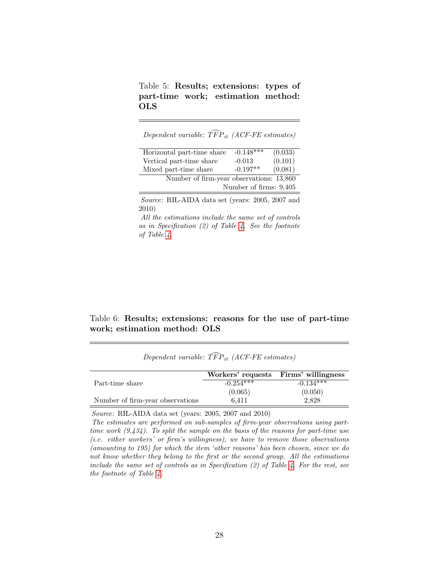<span id="page-29-0"></span>Table 5: Results; extensions: types of part-time work; estimation method: OLS

Dependent variable:  $\widehat{TFP}_{it}$  (ACF-FE estimates)

| Horizontal part-time share               | $-0.148***$            | (0.033) |
|------------------------------------------|------------------------|---------|
| Vertical part-time share                 | $-0.013$               | (0.101) |
| Mixed part-time share                    | $-0.197**$             | (0.081) |
| Number of firm-year observations: 13,860 |                        |         |
|                                          | Number of firms: 9,405 |         |

Source: RIL-AIDA data set (years: 2005, 2007 and 2010)

All the estimations include the same set of controls as in Specification (2) of Table [4.](#page-28-0) See the footnote of Table [4.](#page-28-0)

<span id="page-29-1"></span>Table 6: Results; extensions: reasons for the use of part-time work; estimation method: OLS

|                                  |             | Workers' requests Firms' willingness |
|----------------------------------|-------------|--------------------------------------|
| Part-time share                  | $-0.254***$ | $-0.134***$                          |
|                                  | (0.065)     | (0.050)                              |
| Number of firm-year observations | 6.411       | 2.828                                |

Dependent variable:  $\widehat{TFP}_{it}$  (ACF-FE estimates)

Source: RIL-AIDA data set (years: 2005, 2007 and 2010)

The estimates are performed on sub-samples of firm-year observations using parttime work  $(9.434)$ . To split the sample on the basis of the reasons for part-time use (i.e. either workers' or firm's willingness), we have to remove those observations (amounting to 195) for which the item 'other reasons' has been chosen, since we do not know whether they belong to the first or the second group. All the estimations include the same set of controls as in Specification  $(2)$  of Table [4.](#page-28-0) For the rest, see the footnote of Table [4.](#page-28-0)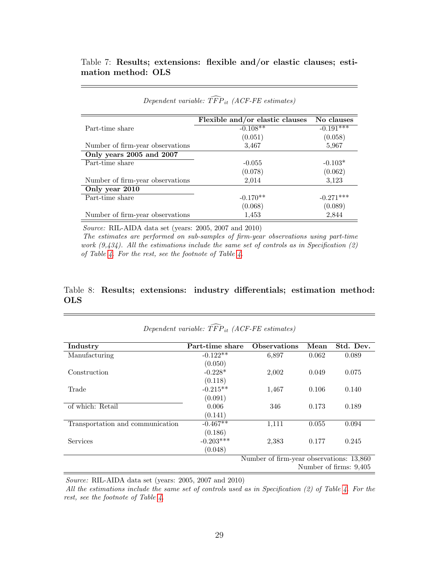### <span id="page-30-0"></span>Table 7: Results; extensions: flexible and/or elastic clauses; estimation method: OLS

|                                  | Flexible and/or elastic clauses | No clauses  |
|----------------------------------|---------------------------------|-------------|
| Part-time share                  | $-0.108**$                      | $-0.191***$ |
|                                  | (0.051)                         | (0.058)     |
| Number of firm-year observations | 3,467                           | 5,967       |
| Only years 2005 and 2007         |                                 |             |
| Part-time share                  | $-0.055$                        | $-0.103*$   |
|                                  | (0.078)                         | (0.062)     |
| Number of firm-year observations | 2,014                           | 3,123       |
| Only year 2010                   |                                 |             |
| Part-time share                  | $-0.170**$                      | $-0.271***$ |
|                                  | (0.068)                         | (0.089)     |
| Number of firm-year observations | 1,453                           | 2,844       |

### Dependent variable:  $\widehat{TFP}_{it}$  (ACF-FE estimates)

Source: RIL-AIDA data set (years: 2005, 2007 and 2010)

The estimates are performed on sub-samples of firm-year observations using part-time work  $(9,434)$ . All the estimations include the same set of controls as in Specification  $(2)$ of Table [4.](#page-28-0) For the rest, see the footnote of Table [4.](#page-28-0)

### Table 8: Results; extensions: industry differentials; estimation method: OLS

|                                  | Dependent variable: $TFP_{it}$ (ACF-FE estimates) |                                          |       |                        |
|----------------------------------|---------------------------------------------------|------------------------------------------|-------|------------------------|
| Industry                         | Part-time share                                   | <b>Observations</b>                      | Mean  | Std. Dev.              |
| Manufacturing                    | $-0.122**$                                        | 6,897                                    | 0.062 | 0.089                  |
|                                  | (0.050)                                           |                                          |       |                        |
| Construction                     | $-0.228*$                                         | 2,002                                    | 0.049 | 0.075                  |
|                                  | (0.118)                                           |                                          |       |                        |
| Trade                            | $-0.215**$                                        | 1,467                                    | 0.106 | 0.140                  |
|                                  | (0.091)                                           |                                          |       |                        |
| of which: Retail                 | 0.006                                             | 346                                      | 0.173 | 0.189                  |
|                                  | (0.141)                                           |                                          |       |                        |
| Transportation and communication | $-0.467**$                                        | 1,111                                    | 0.055 | 0.094                  |
|                                  | (0.186)                                           |                                          |       |                        |
| <b>Services</b>                  | $-0.203***$                                       | 2,383                                    | 0.177 | 0.245                  |
|                                  | (0.048)                                           |                                          |       |                        |
|                                  |                                                   | Number of firm-year observations: 13,860 |       |                        |
|                                  |                                                   |                                          |       | Number of firms: 9,405 |

Source: RIL-AIDA data set (years: 2005, 2007 and 2010)

All the estimations include the same set of controls used as in Specification (2) of Table [4.](#page-28-0) For the rest, see the footnote of Table [4.](#page-28-0)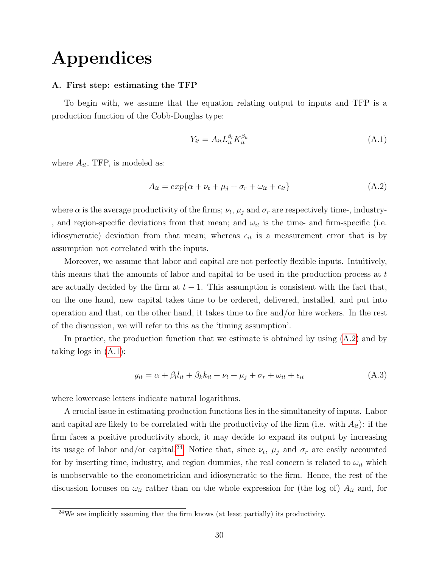## Appendices

### <span id="page-31-0"></span>A. First step: estimating the TFP

To begin with, we assume that the equation relating output to inputs and TFP is a production function of the Cobb-Douglas type:

<span id="page-31-2"></span>
$$
Y_{it} = A_{it} L_{it}^{\beta_l} K_{it}^{\beta_k} \tag{A.1}
$$

where  $A_{it}$ , TFP, is modeled as:

<span id="page-31-1"></span>
$$
A_{it} = exp\{\alpha + \nu_t + \mu_j + \sigma_r + \omega_{it} + \epsilon_{it}\}\tag{A.2}
$$

where  $\alpha$  is the average productivity of the firms;  $\nu_t$ ,  $\mu_j$  and  $\sigma_r$  are respectively time-, industry-, and region-specific deviations from that mean; and  $\omega_{it}$  is the time- and firm-specific (i.e. idiosyncratic) deviation from that mean; whereas  $\epsilon_{it}$  is a measurement error that is by assumption not correlated with the inputs.

Moreover, we assume that labor and capital are not perfectly flexible inputs. Intuitively, this means that the amounts of labor and capital to be used in the production process at  $t$ are actually decided by the firm at  $t-1$ . This assumption is consistent with the fact that, on the one hand, new capital takes time to be ordered, delivered, installed, and put into operation and that, on the other hand, it takes time to fire and/or hire workers. In the rest of the discussion, we will refer to this as the 'timing assumption'.

In practice, the production function that we estimate is obtained by using [\(A.2\)](#page-31-1) and by taking logs in  $(A.1)$ :

$$
y_{it} = \alpha + \beta_l l_{it} + \beta_k k_{it} + \nu_t + \mu_j + \sigma_r + \omega_{it} + \epsilon_{it}
$$
(A.3)

where lowercase letters indicate natural logarithms.

A crucial issue in estimating production functions lies in the simultaneity of inputs. Labor and capital are likely to be correlated with the productivity of the firm (i.e. with  $A_{it}$ ): if the firm faces a positive productivity shock, it may decide to expand its output by increasing its usage of labor and/or capital.<sup>[24](#page--1-0)</sup> Notice that, since  $\nu_t$ ,  $\mu_j$  and  $\sigma_r$  are easily accounted for by inserting time, industry, and region dummies, the real concern is related to  $\omega_{it}$  which is unobservable to the econometrician and idiosyncratic to the firm. Hence, the rest of the discussion focuses on  $\omega_{it}$  rather than on the whole expression for (the log of)  $A_{it}$  and, for

 $24$ We are implicitly assuming that the firm knows (at least partially) its productivity.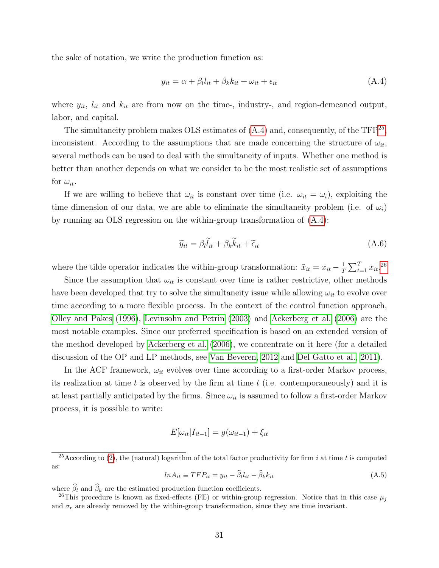the sake of notation, we write the production function as:

<span id="page-32-0"></span>
$$
y_{it} = \alpha + \beta_l l_{it} + \beta_k k_{it} + \omega_{it} + \epsilon_{it}
$$
\n(A.4)

where  $y_{it}$ ,  $l_{it}$  and  $k_{it}$  are from now on the time-, industry-, and region-demeaned output, labor, and capital.

The simultaneity problem makes OLS estimates of  $(A.4)$  and, consequently, of the TFP<sup>[25](#page--1-0)</sup>, inconsistent. According to the assumptions that are made concerning the structure of  $\omega_{it}$ , several methods can be used to deal with the simultaneity of inputs. Whether one method is better than another depends on what we consider to be the most realistic set of assumptions for  $\omega_{it}$ .

If we are willing to believe that  $\omega_{it}$  is constant over time (i.e.  $\omega_{it} = \omega_i$ ), exploiting the time dimension of our data, we are able to eliminate the simultaneity problem (i.e. of  $\omega_i$ ) by running an OLS regression on the within-group transformation of  $(A.4)$ :

$$
\widetilde{y}_{it} = \beta_t \widetilde{l}_{it} + \beta_k \widetilde{k}_{it} + \widetilde{\epsilon}_{it}
$$
\n(A.6)

where the tilde operator indicates the within-group transformation:  $\tilde{x}_{it} = x_{it} - \frac{1}{T}$  $\frac{1}{T} \sum_{t=1}^{T} x_{it}$ .<sup>[26](#page--1-0)</sup>

Since the assumption that  $\omega_{it}$  is constant over time is rather restrictive, other methods have been developed that try to solve the simultaneity issue while allowing  $\omega_{it}$  to evolve over time according to a more flexible process. In the context of the control function approach, [Olley and Pakes](#page-41-10) [\(1996\)](#page-41-10), [Levinsohn and Petrin](#page-41-11) [\(2003\)](#page-41-11) and [Ackerberg et al.](#page-40-2) [\(2006\)](#page-40-2) are the most notable examples. Since our preferred specification is based on an extended version of the method developed by [Ackerberg et al.](#page-40-2) [\(2006\)](#page-40-2), we concentrate on it here (for a detailed discussion of the OP and LP methods, see [Van Beveren, 2012](#page-42-1) and [Del Gatto et al., 2011\)](#page-40-12).

In the ACF framework,  $\omega_{it}$  evolves over time according to a first-order Markov process, its realization at time t is observed by the firm at time  $t$  (i.e. contemporaneously) and it is at least partially anticipated by the firms. Since  $\omega_{it}$  is assumed to follow a first-order Markov process, it is possible to write:

$$
E[\omega_{it}|I_{it-1}] = g(\omega_{it-1}) + \xi_{it}
$$

$$
ln A_{it} \equiv TFP_{it} = y_{it} - \hat{\beta}_l l_{it} - \hat{\beta}_k k_{it}
$$
\n(A.5)

where  $\widehat{\beta}_l$  and  $\widehat{\beta}_k$  are the estimated production function coefficients.

<sup>&</sup>lt;sup>25</sup>According to [\(2\)](#page-9-2), the (natural) logarithm of the total factor productivity for firm i at time t is computed as:

<sup>&</sup>lt;sup>26</sup>This procedure is known as fixed-effects (FE) or within-group regression. Notice that in this case  $\mu_i$ and  $\sigma_r$  are already removed by the within-group transformation, since they are time invariant.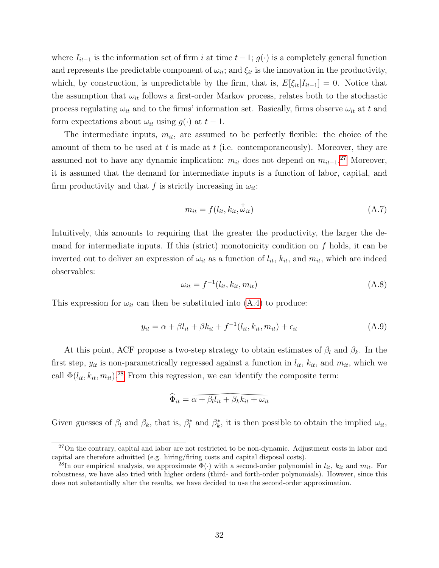where  $I_{it-1}$  is the information set of firm i at time  $t-1$ ;  $g(\cdot)$  is a completely general function and represents the predictable component of  $\omega_{it}$ ; and  $\xi_{it}$  is the innovation in the productivity, which, by construction, is unpredictable by the firm, that is,  $E[\xi_{it}|I_{it-1}] = 0$ . Notice that the assumption that  $\omega_{it}$  follows a first-order Markov process, relates both to the stochastic process regulating  $\omega_{it}$  and to the firms' information set. Basically, firms observe  $\omega_{it}$  at t and form expectations about  $\omega_{it}$  using  $g(\cdot)$  at  $t-1$ .

The intermediate inputs,  $m_{it}$ , are assumed to be perfectly flexible: the choice of the amount of them to be used at  $t$  is made at  $t$  (i.e. contemporaneously). Moreover, they are assumed not to have any dynamic implication:  $m_{it}$  does not depend on  $m_{it-1}$ .<sup>[27](#page--1-0)</sup> Moreover, it is assumed that the demand for intermediate inputs is a function of labor, capital, and firm productivity and that f is strictly increasing in  $\omega_{it}$ :

$$
m_{it} = f(l_{it}, k_{it}, \dot{\vec{\omega}}_{it})
$$
\n(A.7)

Intuitively, this amounts to requiring that the greater the productivity, the larger the demand for intermediate inputs. If this (strict) monotonicity condition on  $f$  holds, it can be inverted out to deliver an expression of  $\omega_{it}$  as a function of  $l_{it}$ ,  $k_{it}$ , and  $m_{it}$ , which are indeed observables:

$$
\omega_{it} = f^{-1}(l_{it}, k_{it}, m_{it}) \tag{A.8}
$$

This expression for  $\omega_{it}$  can then be substituted into [\(A.4\)](#page-32-0) to produce:

<span id="page-33-0"></span>
$$
y_{it} = \alpha + \beta l_{it} + \beta k_{it} + f^{-1}(l_{it}, k_{it}, m_{it}) + \epsilon_{it}
$$
\n(A.9)

At this point, ACF propose a two-step strategy to obtain estimates of  $\beta_l$  and  $\beta_k$ . In the first step,  $y_{it}$  is non-parametrically regressed against a function in  $l_{it}$ ,  $k_{it}$ , and  $m_{it}$ , which we call  $\Phi(l_{it}, k_{it}, m_{it})$ .<sup>[28](#page--1-0)</sup> From this regression, we can identify the composite term:

$$
\widehat{\Phi}_{it} = \overline{\alpha + \beta_l l_{it} + \beta_k k_{it} + \omega_{it}}
$$

Given guesses of  $\beta_l$  and  $\beta_k$ , that is,  $\beta_l^*$  and  $\beta_k^*$ , it is then possible to obtain the implied  $\omega_{it}$ ,

<sup>&</sup>lt;sup>27</sup>On the contrary, capital and labor are not restricted to be non-dynamic. Adjustment costs in labor and capital are therefore admitted (e.g. hiring/firing costs and capital disposal costs).

<sup>=</sup>  $\alpha + \beta_l l_{it} + \beta_k k_{it} + \omega_{it}$ <br>  $\beta_l^*$  and  $\beta_k^*$ , it is then pos<br>
not restricted to be non-dyna<br>
firing costs and capital dispo<br>
ate  $\Phi(\cdot)$  with a second-order<br>
orders (third- and forth-orde<br>
have decided to use the sec <sup>28</sup>In our empirical analysis, we approximate  $\Phi(\cdot)$  with a second-order polynomial in  $l_{it}$ ,  $k_{it}$  and  $m_{it}$ . For robustness, we have also tried with higher orders (third- and forth-order polynomials). However, since this does not substantially alter the results, we have decided to use the second-order approximation.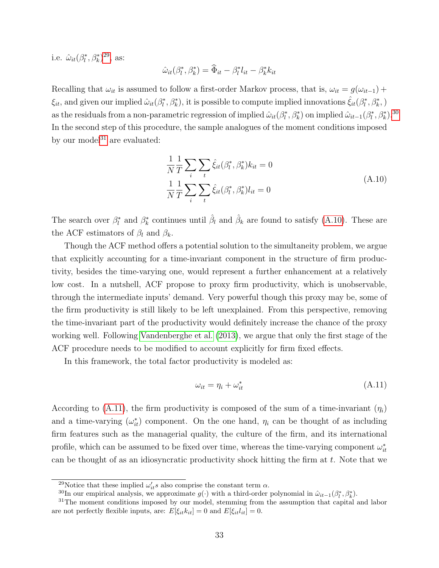i.e.  $\hat{\omega}_{it}(\beta_l^*, \beta_k^*)^{29}$  $\hat{\omega}_{it}(\beta_l^*, \beta_k^*)^{29}$  $\hat{\omega}_{it}(\beta_l^*, \beta_k^*)^{29}$ , as:

$$
\hat{\omega}_{it}(\beta_l^*, \beta_k^*) = \widehat{\Phi}_{it} - \beta_l^* l_{it} - \beta_k^* k_{it}
$$

Recalling that  $\omega_{it}$  is assumed to follow a first-order Markov process, that is,  $\omega_{it} = g(\omega_{it-1}) +$  $\xi_{it}$ , and given our implied  $\hat{\omega}_{it}(\beta^*_t, \beta^*_k)$ , it is possible to compute implied innovations  $\hat{\xi}_{it}(\beta^*_t, \beta^*_k)$ , as the residuals from a non-parametric regression of implied  $\hat{\omega}_{it}(\beta_l^*, \beta_k^*)$  on implied  $\hat{\omega}_{it-1}(\beta_l^*, \beta_k^*)$ .<sup>[30](#page--1-0)</sup> In the second step of this procedure, the sample analogues of the moment conditions imposed by our model $31$  are evaluated:

$$
\frac{1}{N}\frac{1}{T}\sum_{i}\sum_{t}\hat{\xi}_{it}(\beta_{l}^{*},\beta_{k}^{*})k_{it} = 0
$$
\n
$$
\frac{1}{N}\frac{1}{T}\sum_{i}\sum_{t}\hat{\xi}_{it}(\beta_{l}^{*},\beta_{k}^{*})l_{it} = 0
$$
\n(A.10)

<span id="page-34-0"></span>The search over  $\beta_l^*$  and  $\beta_k^*$  continues until  $\hat{\beta}_l$  and  $\hat{\beta}_k$  are found to satisfy [\(A.10\)](#page-34-0). These are the ACF estimators of  $\beta_l$  and  $\beta_k$ .

Though the ACF method offers a potential solution to the simultaneity problem, we argue that explicitly accounting for a time-invariant component in the structure of firm productivity, besides the time-varying one, would represent a further enhancement at a relatively low cost. In a nutshell, ACF propose to proxy firm productivity, which is unobservable, through the intermediate inputs' demand. Very powerful though this proxy may be, some of the firm productivity is still likely to be left unexplained. From this perspective, removing the time-invariant part of the productivity would definitely increase the chance of the proxy working well. Following [Vandenberghe et al.](#page-42-0) [\(2013\)](#page-42-0), we argue that only the first stage of the ACF procedure needs to be modified to account explicitly for firm fixed effects.

In this framework, the total factor productivity is modeled as:

<span id="page-34-1"></span>
$$
\omega_{it} = \eta_i + \omega_{it}^* \tag{A.11}
$$

According to [\(A.11\)](#page-34-1), the firm productivity is composed of the sum of a time-invariant  $(\eta_i)$ and a time-varying  $(\omega_{it}^*)$  component. On the one hand,  $\eta_i$  can be thought of as including firm features such as the managerial quality, the culture of the firm, and its international profile, which can be assumed to be fixed over time, whereas the time-varying component  $\omega_{it}^*$ can be thought of as an idiosyncratic productivity shock hitting the firm at  $t$ . Note that we

<sup>&</sup>lt;sup>29</sup>Notice that these implied  $\omega'_{it} s$  also comprise the constant term  $\alpha$ .

<sup>&</sup>lt;sup>30</sup>In our empirical analysis, we approximate  $g(\cdot)$  with a third-order polynomial in  $\hat{\omega}_{it-1}(\beta_i^*, \beta_k^*)$ .

 $31$ The moment conditions imposed by our model, stemming from the assumption that capital and labor are not perfectly flexible inputs, are:  $E[\xi_{it}k_{it}] = 0$  and  $E[\xi_{it}l_{it}] = 0$ .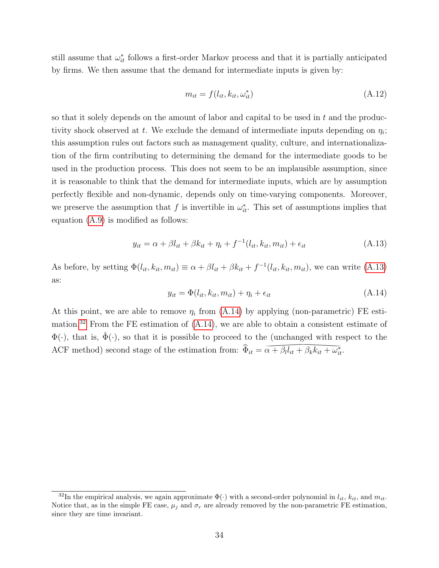still assume that  $\omega_{it}^*$  follows a first-order Markov process and that it is partially anticipated by firms. We then assume that the demand for intermediate inputs is given by:

$$
m_{it} = f(l_{it}, k_{it}, \omega_{it}^*)
$$
\n
$$
(A.12)
$$

so that it solely depends on the amount of labor and capital to be used in  $t$  and the productivity shock observed at t. We exclude the demand of intermediate inputs depending on  $\eta_i$ ; this assumption rules out factors such as management quality, culture, and internationalization of the firm contributing to determining the demand for the intermediate goods to be used in the production process. This does not seem to be an implausible assumption, since it is reasonable to think that the demand for intermediate inputs, which are by assumption perfectly flexible and non-dynamic, depends only on time-varying components. Moreover, we preserve the assumption that f is invertible in  $\omega_{it}^*$ . This set of assumptions implies that equation [\(A.9\)](#page-33-0) is modified as follows:

<span id="page-35-0"></span>
$$
y_{it} = \alpha + \beta l_{it} + \beta k_{it} + \eta_i + f^{-1}(l_{it}, k_{it}, m_{it}) + \epsilon_{it}
$$
 (A.13)

As before, by setting  $\Phi(l_{it}, k_{it}, m_{it}) \equiv \alpha + \beta l_{it} + \beta k_{it} + f^{-1}(l_{it}, k_{it}, m_{it})$ , we can write [\(A.13\)](#page-35-0) as:

<span id="page-35-1"></span>
$$
y_{it} = \Phi(l_{it}, k_{it}, m_{it}) + \eta_i + \epsilon_{it}
$$
\n(A.14)

At this point, we are able to remove  $\eta_i$  from [\(A.14\)](#page-35-1) by applying (non-parametric) FE esti-mation.<sup>[32](#page--1-0)</sup> From the FE estimation of  $(A.14)$ , we are able to obtain a consistent estimate of  $\Phi(\cdot)$ , that is,  $\Phi(\cdot)$ , so that it is possible to proceed to the (unchanged with respect to the ACF method) second stage of the estimation from:  $\hat{\Phi}_{it} = \overline{\alpha + \beta_l l_{it}} + \beta_k k_{it} + \omega_{it}^*$ .  $=\overline{\alpha + \beta_l l_{it} + \beta_k k_{it} + \omega_{it}^*}.$ 

<sup>&</sup>lt;sup>32</sup>In the empirical analysis, we again approximate  $\Phi(\cdot)$  with a second-order polynomial in  $l_{it}$ ,  $k_{it}$ , and  $m_{it}$ . Notice that, as in the simple FE case,  $\mu_j$  and  $\sigma_r$  are already removed by the non-parametric FE estimation, since they are time invariant.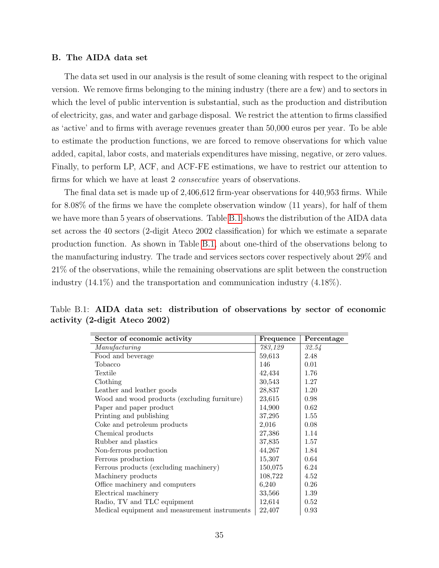#### <span id="page-36-0"></span>B. The AIDA data set

The data set used in our analysis is the result of some cleaning with respect to the original version. We remove firms belonging to the mining industry (there are a few) and to sectors in which the level of public intervention is substantial, such as the production and distribution of electricity, gas, and water and garbage disposal. We restrict the attention to firms classified as 'active' and to firms with average revenues greater than 50,000 euros per year. To be able to estimate the production functions, we are forced to remove observations for which value added, capital, labor costs, and materials expenditures have missing, negative, or zero values. Finally, to perform LP, ACF, and ACF-FE estimations, we have to restrict our attention to firms for which we have at least 2 *consecutive* years of observations.

The final data set is made up of 2,406,612 firm-year observations for 440,953 firms. While for 8.08% of the firms we have the complete observation window (11 years), for half of them we have more than 5 years of observations. Table [B.1](#page-36-1) shows the distribution of the AIDA data set across the 40 sectors (2-digit Ateco 2002 classification) for which we estimate a separate production function. As shown in Table [B.1,](#page-36-1) about one-third of the observations belong to the manufacturing industry. The trade and services sectors cover respectively about 29% and 21% of the observations, while the remaining observations are split between the construction industry (14.1%) and the transportation and communication industry (4.18%).

| Sector of economic activity                   | Frequence | Percentage |
|-----------------------------------------------|-----------|------------|
| Manufacturing                                 | 783,129   | 32.54      |
| Food and beverage                             | 59,613    | 2.48       |
| Tobacco                                       | 146       | 0.01       |
| Textile                                       | 42,434    | 1.76       |
| Clothing                                      | 30,543    | 1.27       |
| Leather and leather goods                     | 28,837    | 1.20       |
| Wood and wood products (excluding furniture)  | 23,615    | 0.98       |
| Paper and paper product                       | 14,900    | 0.62       |
| Printing and publishing                       | 37,295    | 1.55       |
| Coke and petroleum products                   | 2,016     | 0.08       |
| Chemical products                             | 27,386    | 1.14       |
| Rubber and plastics                           | 37,835    | 1.57       |
| Non-ferrous production                        | 44,267    | 1.84       |
| Ferrous production                            | 15,307    | 0.64       |
| Ferrous products (excluding machinery)        | 150,075   | 6.24       |
| Machinery products                            | 108,722   | 4.52       |
| Office machinery and computers                | 6,240     | 0.26       |
| Electrical machinery                          | 33,566    | 1.39       |
| Radio, TV and TLC equipment                   | 12,614    | 0.52       |
| Medical equipment and measurement instruments | 22,407    | 0.93       |

<span id="page-36-1"></span>Table B.1: AIDA data set: distribution of observations by sector of economic activity (2-digit Ateco 2002)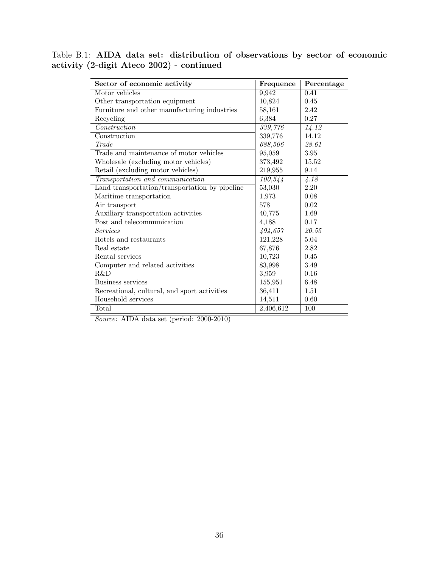Table B.1: AIDA data set: distribution of observations by sector of economic activity (2-digit Ateco 2002) - continued

| Sector of economic activity                    | Frequence | Percentage |
|------------------------------------------------|-----------|------------|
| Motor vehicles                                 | 9,942     | 0.41       |
| Other transportation equipment                 | 10,824    | 0.45       |
| Furniture and other manufacturing industries   | 58,161    | 2.42       |
| Recycling                                      | 6,384     | 0.27       |
| Construction                                   | 339,776   | 14.12      |
| Construction                                   | 339,776   | 14.12      |
| Trade                                          | 688,506   | 28.61      |
| Trade and maintenance of motor vehicles        | 95,059    | 3.95       |
| Wholesale (excluding motor vehicles)           | 373,492   | 15.52      |
| Retail (excluding motor vehicles)              | 219,955   | 9.14       |
| Transportation and communication               | 100,544   | 4.18       |
| Land transportation/transportation by pipeline | 53,030    | 2.20       |
| Maritime transportation                        | 1,973     | 0.08       |
| Air transport                                  | 578       | 0.02       |
| Auxiliary transportation activities            | 40,775    | 1.69       |
| Post and telecommunication                     | 4,188     | 0.17       |
| <i>Services</i>                                | 494,657   | 20.55      |
| Hotels and restaurants                         | 121,228   | 5.04       |
| Real estate                                    | 67,876    | 2.82       |
| Rental services                                | 10,723    | 0.45       |
| Computer and related activities                | 83,998    | 3.49       |
| R&D                                            | 3,959     | 0.16       |
| Business services                              | 155,951   | 6.48       |
| Recreational, cultural, and sport activities   | 36,411    | 1.51       |
| Household services                             | 14,511    | 0.60       |
| Total                                          | 2,406,612 | 100        |

Source: AIDA data set (period: 2000-2010)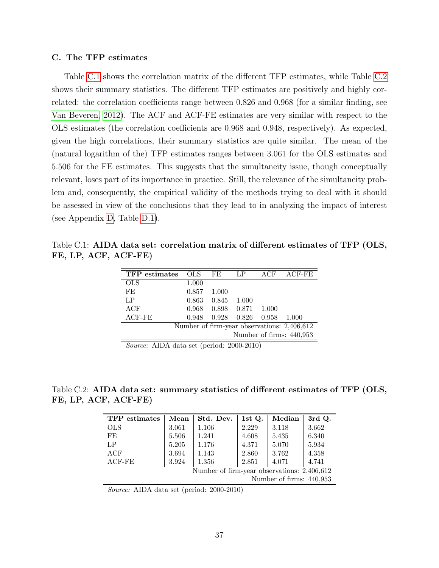#### <span id="page-38-0"></span>C. The TFP estimates

Table [C.1](#page-38-1) shows the correlation matrix of the different TFP estimates, while Table [C.2](#page-38-2) shows their summary statistics. The different TFP estimates are positively and highly correlated: the correlation coefficients range between 0.826 and 0.968 (for a similar finding, see [Van Beveren, 2012\)](#page-42-1). The ACF and ACF-FE estimates are very similar with respect to the OLS estimates (the correlation coefficients are 0.968 and 0.948, respectively). As expected, given the high correlations, their summary statistics are quite similar. The mean of the (natural logarithm of the) TFP estimates ranges between 3.061 for the OLS estimates and 5.506 for the FE estimates. This suggests that the simultaneity issue, though conceptually relevant, loses part of its importance in practice. Still, the relevance of the simultaneity problem and, consequently, the empirical validity of the methods trying to deal with it should be assessed in view of the conclusions that they lead to in analyzing the impact of interest (see Appendix [D,](#page-39-0) Table [D.1\)](#page-39-1).

<span id="page-38-1"></span>Table C.1: AIDA data set: correlation matrix of different estimates of TFP (OLS, FE, LP, ACF, ACF-FE)

| <b>TFP</b> estimates                        | <b>OLS</b> | FE.   | LP    | ACF   | ACF-FE |  |  |
|---------------------------------------------|------------|-------|-------|-------|--------|--|--|
| <b>OLS</b>                                  | 1.000      |       |       |       |        |  |  |
| FE                                          | 0.857      | 1.000 |       |       |        |  |  |
| LP                                          | 0.863      | 0.845 | 1.000 |       |        |  |  |
| ACF                                         | 0.968      | 0.898 | 0.871 | 1.000 |        |  |  |
| $ACF-FE$                                    | 0.948      | 0.928 | 0.826 | 0.958 | 1.000  |  |  |
| Number of firm-year observations: 2,406,612 |            |       |       |       |        |  |  |
| Number of firms: 440,953                    |            |       |       |       |        |  |  |

Source: AIDA data set (period: 2000-2010)

<span id="page-38-2"></span>Table C.2: AIDA data set: summary statistics of different estimates of TFP (OLS, FE, LP, ACF, ACF-FE)

| TFP estimates                               | Mean  | Std. Dev. | 1st Q. | Median | 3rd Q. |  |  |  |
|---------------------------------------------|-------|-----------|--------|--------|--------|--|--|--|
| <b>OLS</b>                                  | 3.061 | 1.106     | 2.229  | 3.118  | 3.662  |  |  |  |
| FE                                          | 5.506 | 1.241     | 4.608  | 5.435  | 6.340  |  |  |  |
| LP                                          | 5.205 | 1.176     | 4.371  | 5.070  | 5.934  |  |  |  |
| ACF                                         | 3.694 | 1.143     | 2.860  | 3.762  | 4.358  |  |  |  |
| ACF-FE                                      | 3.924 | 1.356     | 2.851  | 4.071  | 4.741  |  |  |  |
| Number of firm-year observations: 2,406,612 |       |           |        |        |        |  |  |  |
| Number of firms: 440,953                    |       |           |        |        |        |  |  |  |

Source: AIDA data set (period: 2000-2010)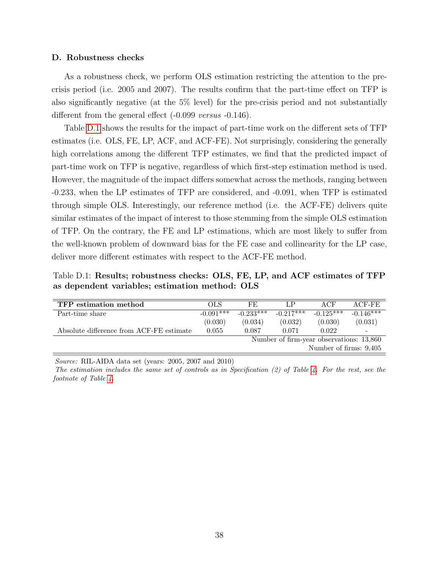#### <span id="page-39-0"></span>D. Robustness checks

As a robustness check, we perform OLS estimation restricting the attention to the precrisis period (i.e. 2005 and 2007). The results confirm that the part-time effect on TFP is also significantly negative (at the 5% level) for the pre-crisis period and not substantially different from the general effect (-0.099 versus -0.146).

Table [D.1](#page-39-1) shows the results for the impact of part-time work on the different sets of TFP estimates (i.e. OLS, FE, LP, ACF, and ACF-FE). Not surprisingly, considering the generally high correlations among the different TFP estimates, we find that the predicted impact of part-time work on TFP is negative, regardless of which first-step estimation method is used. However, the magnitude of the impact differs somewhat across the methods, ranging between -0.233, when the LP estimates of TFP are considered, and -0.091, when TFP is estimated through simple OLS. Interestingly, our reference method (i.e. the ACF-FE) delivers quite similar estimates of the impact of interest to those stemming from the simple OLS estimation of TFP. On the contrary, the FE and LP estimations, which are most likely to suffer from the well-known problem of downward bias for the FE case and collinearity for the LP case, deliver more different estimates with respect to the ACF-FE method.

<span id="page-39-1"></span>Table D.1: Results; robustness checks: OLS, FE, LP, and ACF estimates of TFP as dependent variables; estimation method: OLS

| TFP estimation method                    | OLS         | FE.                                      | LP          | ACF         | $ACF-FE$                 |  |
|------------------------------------------|-------------|------------------------------------------|-------------|-------------|--------------------------|--|
| Part-time share                          | $-0.091***$ | $-0.233***$                              | $-0.217***$ | $-0.125***$ | $-0.146***$              |  |
|                                          | (0.030)     | (0.034)                                  | (0.032)     | (0.030)     | (0.031)                  |  |
| Absolute difference from ACF-FE estimate | 0.055       | 0.087                                    | 0.071       | 0.022       | $\overline{\phantom{a}}$ |  |
|                                          |             | Number of firm-year observations: 13,860 |             |             |                          |  |
| Number of firms: 9,405                   |             |                                          |             |             |                          |  |
|                                          |             |                                          |             |             |                          |  |

Source: RIL-AIDA data set (years: 2005, 2007 and 2010)

The estimation includes the same set of controls as in Specification (2) of Table [4.](#page-28-0) For the rest, see the footnote of Table [4.](#page-28-0)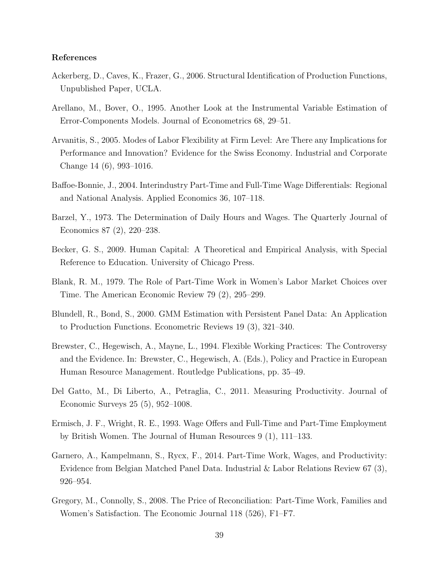#### References

- <span id="page-40-2"></span>Ackerberg, D., Caves, K., Frazer, G., 2006. Structural Identification of Production Functions, Unpublished Paper, UCLA.
- <span id="page-40-10"></span>Arellano, M., Bover, O., 1995. Another Look at the Instrumental Variable Estimation of Error-Components Models. Journal of Econometrics 68, 29–51.
- <span id="page-40-9"></span>Arvanitis, S., 2005. Modes of Labor Flexibility at Firm Level: Are There any Implications for Performance and Innovation? Evidence for the Swiss Economy. Industrial and Corporate Change 14 (6), 993–1016.
- <span id="page-40-8"></span>Baffoe-Bonnie, J., 2004. Interindustry Part-Time and Full-Time Wage Differentials: Regional and National Analysis. Applied Economics 36, 107–118.
- <span id="page-40-1"></span>Barzel, Y., 1973. The Determination of Daily Hours and Wages. The Quarterly Journal of Economics 87 (2), 220–238.
- <span id="page-40-4"></span>Becker, G. S., 2009. Human Capital: A Theoretical and Empirical Analysis, with Special Reference to Education. University of Chicago Press.
- <span id="page-40-5"></span>Blank, R. M., 1979. The Role of Part-Time Work in Women's Labor Market Choices over Time. The American Economic Review 79 (2), 295–299.
- <span id="page-40-11"></span>Blundell, R., Bond, S., 2000. GMM Estimation with Persistent Panel Data: An Application to Production Functions. Econometric Reviews 19 (3), 321–340.
- <span id="page-40-3"></span>Brewster, C., Hegewisch, A., Mayne, L., 1994. Flexible Working Practices: The Controversy and the Evidence. In: Brewster, C., Hegewisch, A. (Eds.), Policy and Practice in European Human Resource Management. Routledge Publications, pp. 35–49.
- <span id="page-40-12"></span>Del Gatto, M., Di Liberto, A., Petraglia, C., 2011. Measuring Productivity. Journal of Economic Surveys 25 (5), 952–1008.
- <span id="page-40-6"></span>Ermisch, J. F., Wright, R. E., 1993. Wage Offers and Full-Time and Part-Time Employment by British Women. The Journal of Human Resources 9 (1), 111–133.
- <span id="page-40-0"></span>Garnero, A., Kampelmann, S., Rycx, F., 2014. Part-Time Work, Wages, and Productivity: Evidence from Belgian Matched Panel Data. Industrial & Labor Relations Review 67 (3), 926–954.
- <span id="page-40-7"></span>Gregory, M., Connolly, S., 2008. The Price of Reconciliation: Part-Time Work, Families and Women's Satisfaction. The Economic Journal 118 (526), F1–F7.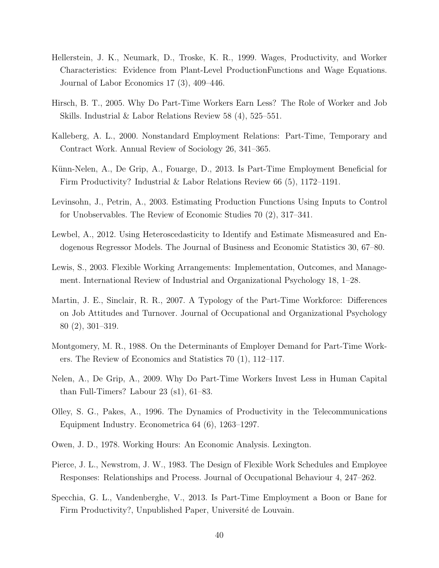- <span id="page-41-9"></span>Hellerstein, J. K., Neumark, D., Troske, K. R., 1999. Wages, Productivity, and Worker Characteristics: Evidence from Plant-Level ProductionFunctions and Wage Equations. Journal of Labor Economics 17 (3), 409–446.
- <span id="page-41-8"></span>Hirsch, B. T., 2005. Why Do Part-Time Workers Earn Less? The Role of Worker and Job Skills. Industrial & Labor Relations Review 58 (4), 525–551.
- <span id="page-41-12"></span>Kalleberg, A. L., 2000. Nonstandard Employment Relations: Part-Time, Temporary and Contract Work. Annual Review of Sociology 26, 341–365.
- <span id="page-41-1"></span>Künn-Nelen, A., De Grip, A., Fouarge, D., 2013. Is Part-Time Employment Beneficial for Firm Productivity? Industrial & Labor Relations Review 66 (5), 1172–1191.
- <span id="page-41-11"></span>Levinsohn, J., Petrin, A., 2003. Estimating Production Functions Using Inputs to Control for Unobservables. The Review of Economic Studies 70 (2), 317–341.
- <span id="page-41-13"></span>Lewbel, A., 2012. Using Heteroscedasticity to Identify and Estimate Mismeasured and Endogenous Regressor Models. The Journal of Business and Economic Statistics 30, 67–80.
- <span id="page-41-3"></span>Lewis, S., 2003. Flexible Working Arrangements: Implementation, Outcomes, and Management. International Review of Industrial and Organizational Psychology 18, 1–28.
- <span id="page-41-6"></span>Martin, J. E., Sinclair, R. R., 2007. A Typology of the Part-Time Workforce: Differences on Job Attitudes and Turnover. Journal of Occupational and Organizational Psychology 80 (2), 301–319.
- <span id="page-41-5"></span>Montgomery, M. R., 1988. On the Determinants of Employer Demand for Part-Time Workers. The Review of Economics and Statistics 70 (1), 112–117.
- <span id="page-41-7"></span>Nelen, A., De Grip, A., 2009. Why Do Part-Time Workers Invest Less in Human Capital than Full-Timers? Labour 23 (s1), 61–83.
- <span id="page-41-10"></span>Olley, S. G., Pakes, A., 1996. The Dynamics of Productivity in the Telecommunications Equipment Industry. Econometrica 64 (6), 1263–1297.
- <span id="page-41-4"></span>Owen, J. D., 1978. Working Hours: An Economic Analysis. Lexington.
- <span id="page-41-2"></span>Pierce, J. L., Newstrom, J. W., 1983. The Design of Flexible Work Schedules and Employee Responses: Relationships and Process. Journal of Occupational Behaviour 4, 247–262.
- <span id="page-41-0"></span>Specchia, G. L., Vandenberghe, V., 2013. Is Part-Time Employment a Boon or Bane for Firm Productivity?, Unpublished Paper, Université de Louvain.